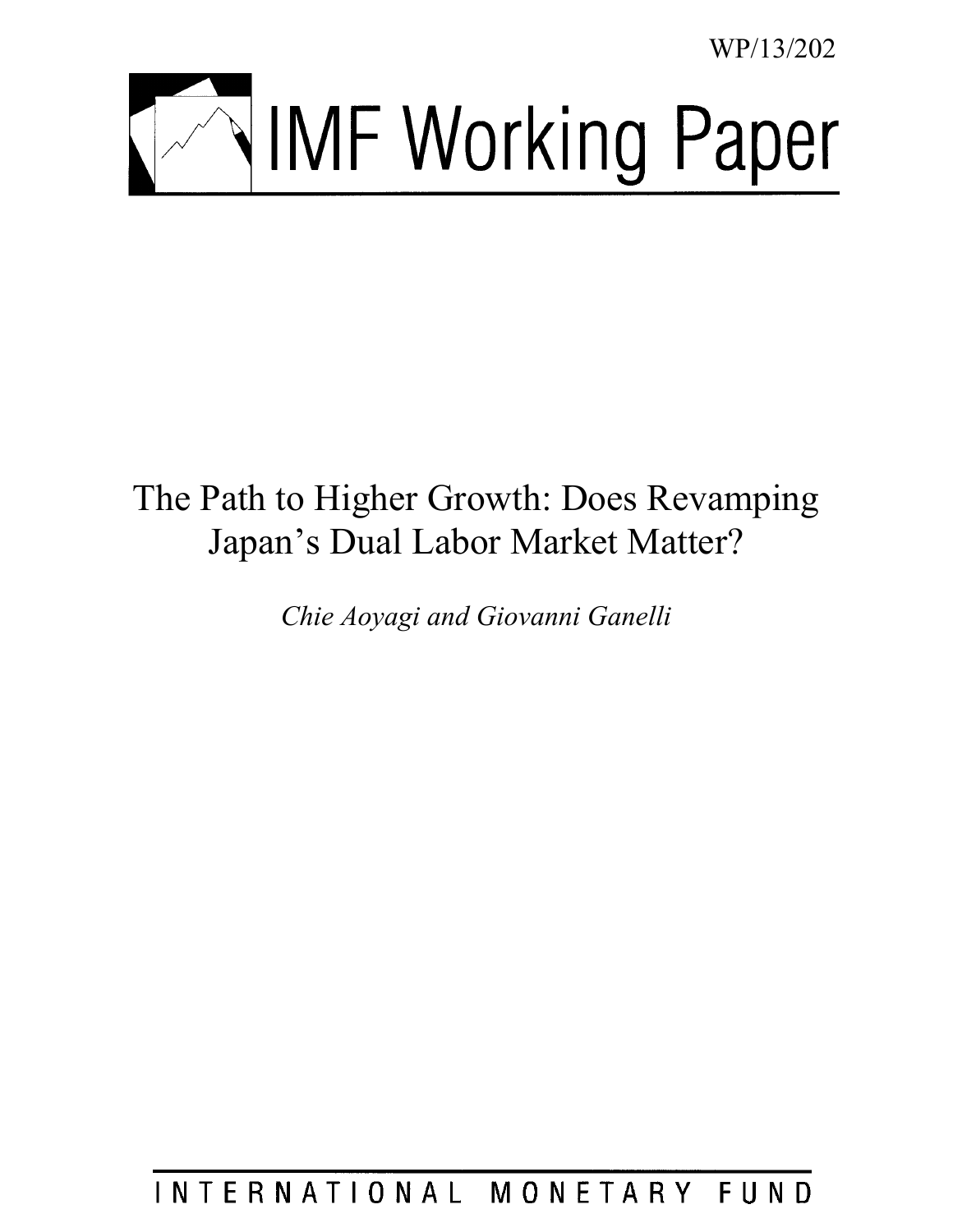WP/13/202



# The Path to Higher Growth: Does Revamping Japan's Dual Labor Market Matter?

*Chie Aoyagi and Giovanni Ganelli* 

INTERNATIONAL MONETARY FUND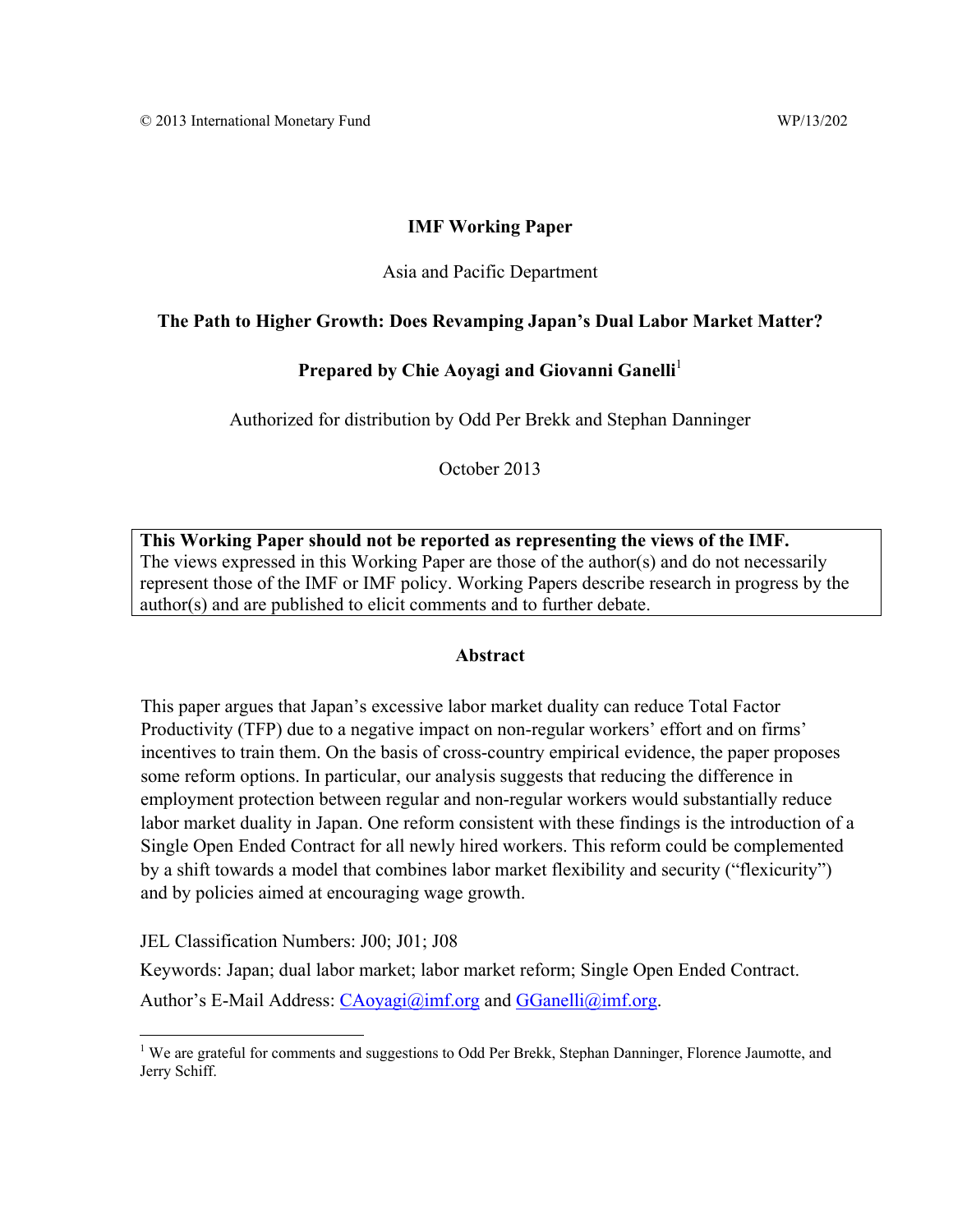#### **IMF Working Paper**

#### Asia and Pacific Department

# **The Path to Higher Growth: Does Revamping Japan's Dual Labor Market Matter?**

# Prepared by Chie Aoyagi and Giovanni Ganelli $^1$

Authorized for distribution by Odd Per Brekk and Stephan Danninger

October 2013

**This Working Paper should not be reported as representing the views of the IMF.**  The views expressed in this Working Paper are those of the author(s) and do not necessarily represent those of the IMF or IMF policy. Working Papers describe research in progress by the author(s) and are published to elicit comments and to further debate.

#### **Abstract**

This paper argues that Japan's excessive labor market duality can reduce Total Factor Productivity (TFP) due to a negative impact on non-regular workers' effort and on firms' incentives to train them. On the basis of cross-country empirical evidence, the paper proposes some reform options. In particular, our analysis suggests that reducing the difference in employment protection between regular and non-regular workers would substantially reduce labor market duality in Japan. One reform consistent with these findings is the introduction of a Single Open Ended Contract for all newly hired workers. This reform could be complemented by a shift towards a model that combines labor market flexibility and security ("flexicurity") and by policies aimed at encouraging wage growth.

JEL Classification Numbers: J00; J01; J08

Keywords: Japan; dual labor market; labor market reform; Single Open Ended Contract. Author's E-Mail Address: CAoyagi@imf.org and GGanelli@imf.org.

<sup>&</sup>lt;sup>1</sup> We are grateful for comments and suggestions to Odd Per Brekk, Stephan Danninger, Florence Jaumotte, and Jerry Schiff.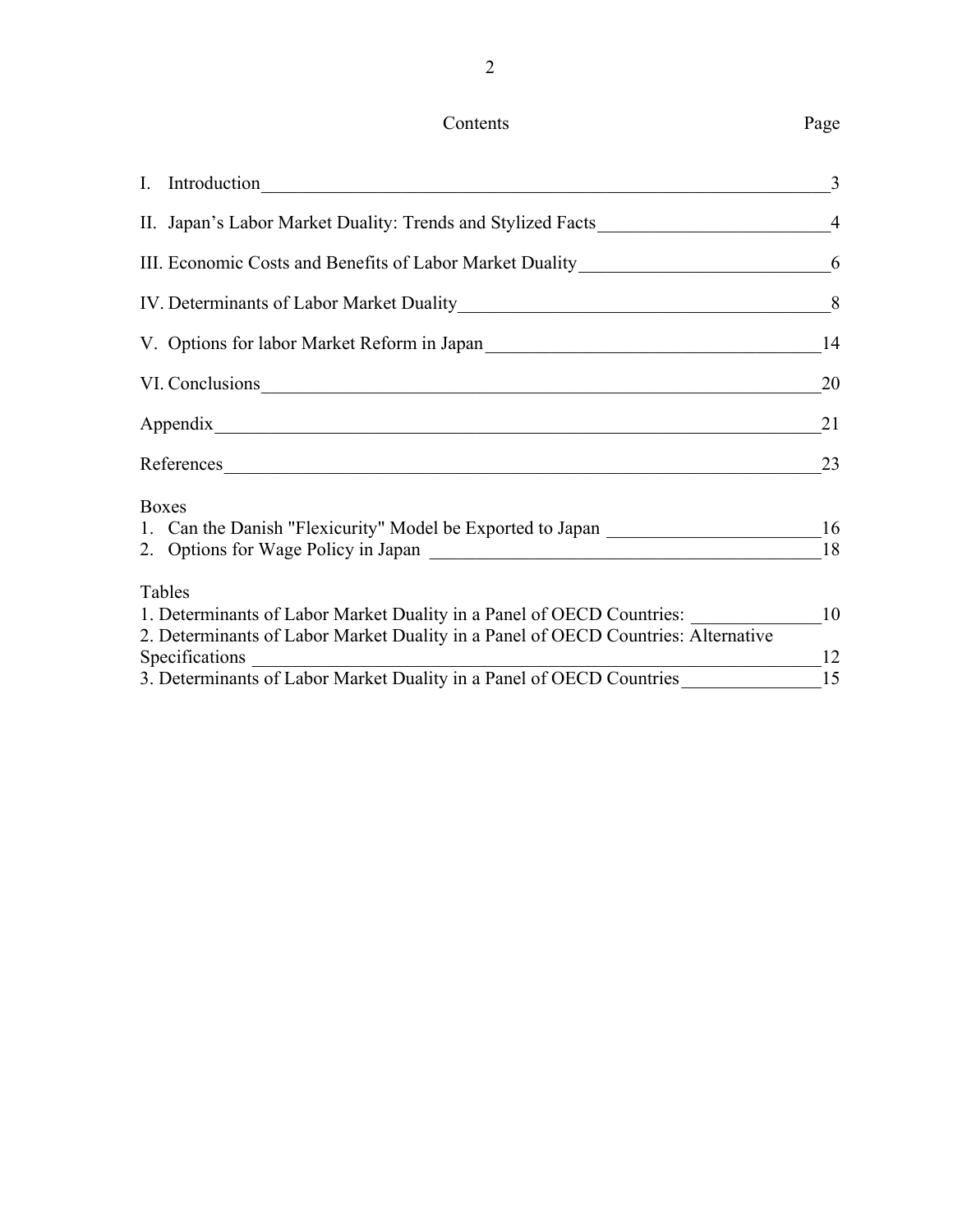# Contents Page

| I. Introduction                                                                                                                                                                        | 3              |
|----------------------------------------------------------------------------------------------------------------------------------------------------------------------------------------|----------------|
| II. Japan's Labor Market Duality: Trends and Stylized Facts                                                                                                                            | $\overline{4}$ |
| III. Economic Costs and Benefits of Labor Market Duality________________________                                                                                                       | 6              |
|                                                                                                                                                                                        | 8              |
|                                                                                                                                                                                        | 14             |
| VI. Conclusions                                                                                                                                                                        | 20             |
|                                                                                                                                                                                        | 21             |
| References                                                                                                                                                                             | 23             |
| <b>Boxes</b><br>1. Can the Danish "Flexicurity" Model be Exported to Japan                                                                                                             | 16<br>18       |
| Tables<br>1. Determinants of Labor Market Duality in a Panel of OECD Countries:<br>2. Determinants of Labor Market Duality in a Panel of OECD Countries: Alternative<br>Specifications | 10<br>12       |
| 3. Determinants of Labor Market Duality in a Panel of OECD Countries                                                                                                                   | 15             |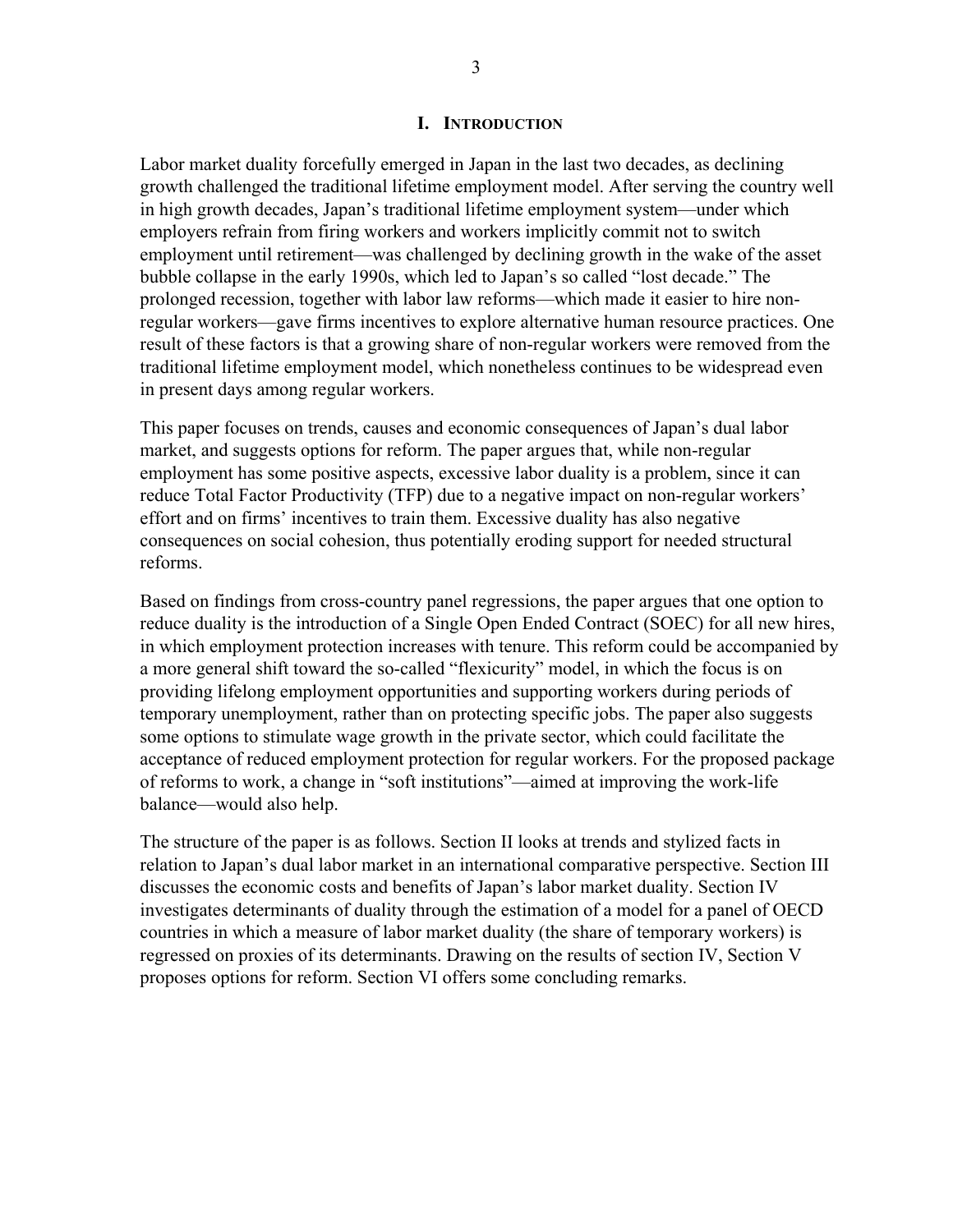#### **I. INTRODUCTION**

Labor market duality forcefully emerged in Japan in the last two decades, as declining growth challenged the traditional lifetime employment model. After serving the country well in high growth decades, Japan's traditional lifetime employment system—under which employers refrain from firing workers and workers implicitly commit not to switch employment until retirement—was challenged by declining growth in the wake of the asset bubble collapse in the early 1990s, which led to Japan's so called "lost decade." The prolonged recession, together with labor law reforms—which made it easier to hire nonregular workers—gave firms incentives to explore alternative human resource practices. One result of these factors is that a growing share of non-regular workers were removed from the traditional lifetime employment model, which nonetheless continues to be widespread even in present days among regular workers.

This paper focuses on trends, causes and economic consequences of Japan's dual labor market, and suggests options for reform. The paper argues that, while non-regular employment has some positive aspects, excessive labor duality is a problem, since it can reduce Total Factor Productivity (TFP) due to a negative impact on non-regular workers' effort and on firms' incentives to train them. Excessive duality has also negative consequences on social cohesion, thus potentially eroding support for needed structural reforms.

Based on findings from cross-country panel regressions, the paper argues that one option to reduce duality is the introduction of a Single Open Ended Contract (SOEC) for all new hires, in which employment protection increases with tenure. This reform could be accompanied by a more general shift toward the so-called "flexicurity" model, in which the focus is on providing lifelong employment opportunities and supporting workers during periods of temporary unemployment, rather than on protecting specific jobs. The paper also suggests some options to stimulate wage growth in the private sector, which could facilitate the acceptance of reduced employment protection for regular workers. For the proposed package of reforms to work, a change in "soft institutions"—aimed at improving the work-life balance—would also help.

The structure of the paper is as follows. Section II looks at trends and stylized facts in relation to Japan's dual labor market in an international comparative perspective. Section III discusses the economic costs and benefits of Japan's labor market duality. Section IV investigates determinants of duality through the estimation of a model for a panel of OECD countries in which a measure of labor market duality (the share of temporary workers) is regressed on proxies of its determinants. Drawing on the results of section IV, Section V proposes options for reform. Section VI offers some concluding remarks.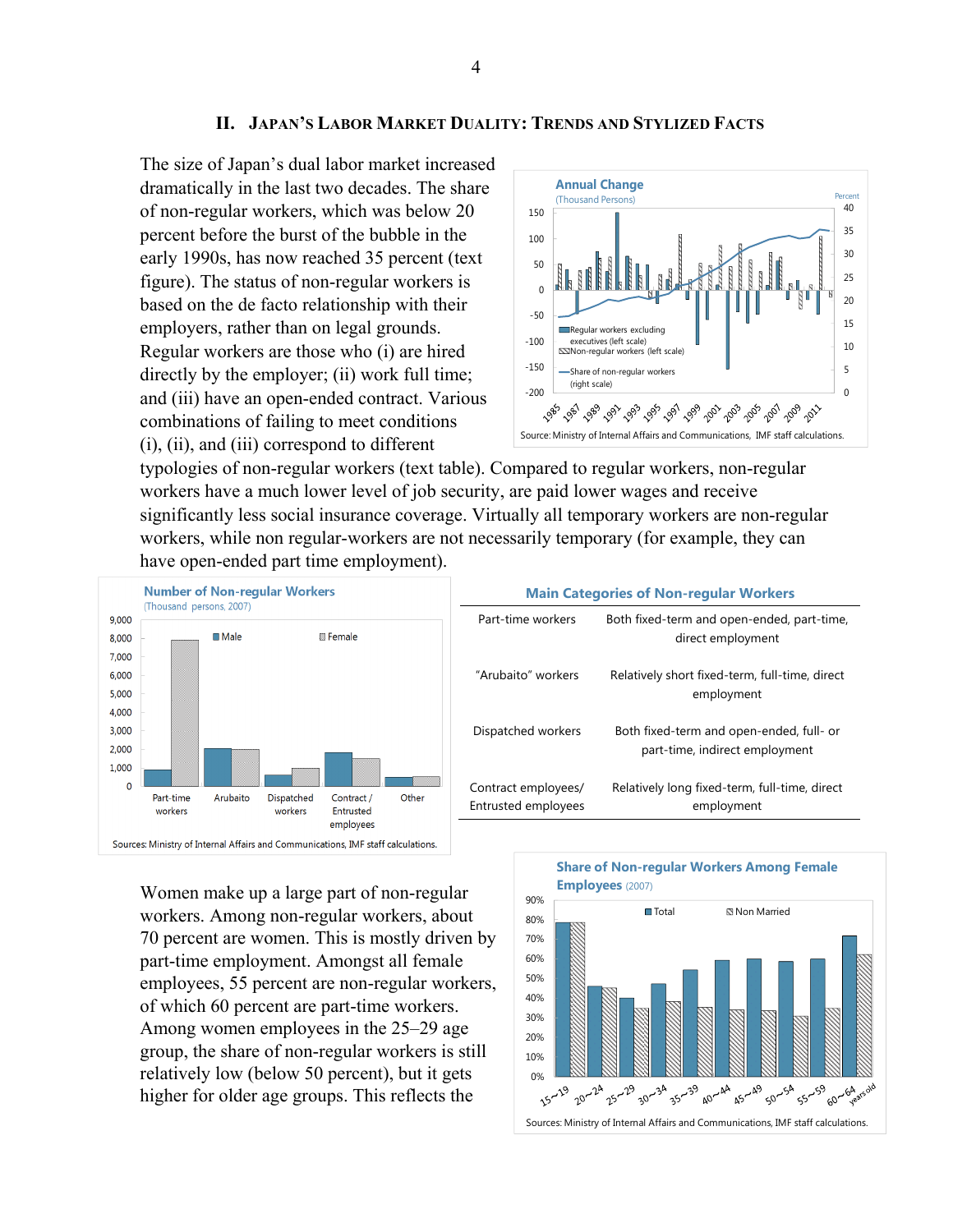#### **II. JAPAN'S LABOR MARKET DUALITY: TRENDS AND STYLIZED FACTS**

The size of Japan's dual labor market increased dramatically in the last two decades. The share of non-regular workers, which was below 20 percent before the burst of the bubble in the early 1990s, has now reached 35 percent (text figure). The status of non-regular workers is based on the de facto relationship with their employers, rather than on legal grounds. Regular workers are those who (i) are hired directly by the employer; (ii) work full time; and (iii) have an open-ended contract. Various combinations of failing to meet conditions (i), (ii), and (iii) correspond to different



typologies of non-regular workers (text table). Compared to regular workers, non-regular workers have a much lower level of job security, are paid lower wages and receive significantly less social insurance coverage. Virtually all temporary workers are non-regular workers, while non regular-workers are not necessarily temporary (for example, they can have open-ended part time employment).



|                                            | <b>Main Categories of Non-regular Workers</b>                              |  |  |  |
|--------------------------------------------|----------------------------------------------------------------------------|--|--|--|
| Part-time workers                          | Both fixed-term and open-ended, part-time,<br>direct employment            |  |  |  |
| "Arubaito" workers                         | Relatively short fixed-term, full-time, direct<br>employment               |  |  |  |
| Dispatched workers                         | Both fixed-term and open-ended, full- or<br>part-time, indirect employment |  |  |  |
| Contract employees/<br>Entrusted employees | Relatively long fixed-term, full-time, direct<br>employment                |  |  |  |

Women make up a large part of non-regular workers. Among non-regular workers, about 70 percent are women. This is mostly driven by part-time employment. Amongst all female employees, 55 percent are non-regular workers, of which 60 percent are part-time workers. Among women employees in the 25–29 age group, the share of non-regular workers is still relatively low (below 50 percent), but it gets higher for older age groups. This reflects the

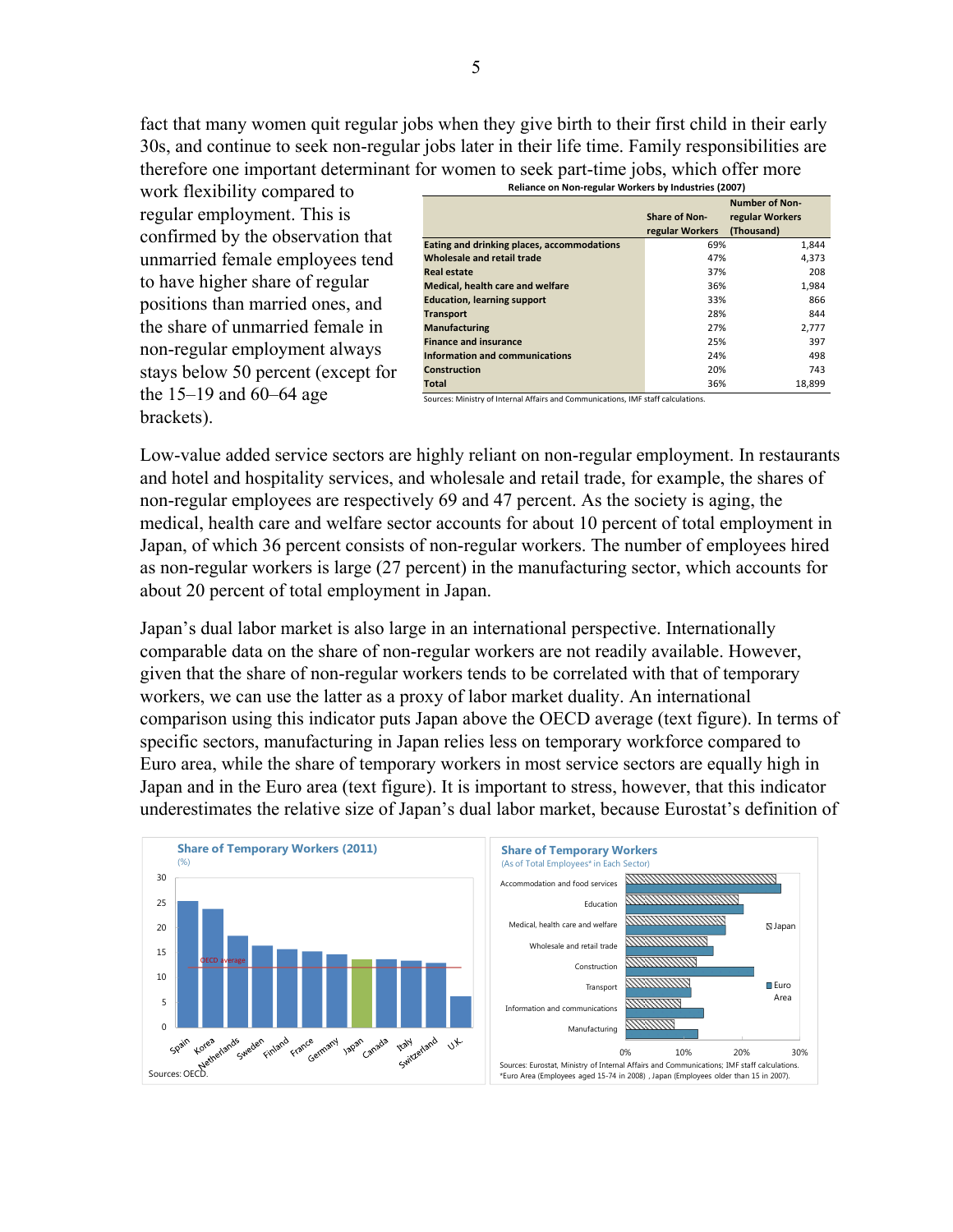**Reliance on Non-regular Workers by Industries (2007)** fact that many women quit regular jobs when they give birth to their first child in their early 30s, and continue to seek non-regular jobs later in their life time. Family responsibilities are therefore one important determinant for women to seek part-time jobs, which offer more

work flexibility compared to regular employment. This is confirmed by the observation that unmarried female employees tend to have higher share of regular positions than married ones, and the share of unmarried female in non-regular employment always stays below 50 percent (except for the 15–19 and 60–64 age brackets).

|                                                                                 |                      | <b>Number of Non-</b> |  |
|---------------------------------------------------------------------------------|----------------------|-----------------------|--|
|                                                                                 | <b>Share of Non-</b> | regular Workers       |  |
|                                                                                 | regular Workers      | (Thousand)            |  |
| Eating and drinking places, accommodations                                      | 69%                  | 1,844                 |  |
| Wholesale and retail trade                                                      | 47%                  | 4.373                 |  |
| Real estate                                                                     | 37%                  | 208                   |  |
| Medical, health care and welfare                                                | 36%                  | 1,984                 |  |
| <b>Education, learning support</b>                                              | 33%                  | 866                   |  |
| <b>Transport</b>                                                                | 28%                  | 844                   |  |
| <b>Manufacturing</b>                                                            | 27%                  | 2,777                 |  |
| <b>Finance and insurance</b>                                                    | 25%                  | 397                   |  |
| Information and communications                                                  | 24%                  | 498                   |  |
| <b>Construction</b>                                                             | 20%                  | 743                   |  |
| <b>Total</b>                                                                    | 36%                  | 18,899                |  |
| Sources: Ministry of Internal Affairs and Communications JME staff calculations |                      |                       |  |

Low-value added service sectors are highly reliant on non-regular employment. In restaurants and hotel and hospitality services, and wholesale and retail trade, for example, the shares of non-regular employees are respectively 69 and 47 percent. As the society is aging, the medical, health care and welfare sector accounts for about 10 percent of total employment in Japan, of which 36 percent consists of non-regular workers. The number of employees hired as non-regular workers is large (27 percent) in the manufacturing sector, which accounts for about 20 percent of total employment in Japan.

Japan's dual labor market is also large in an international perspective. Internationally comparable data on the share of non-regular workers are not readily available. However, given that the share of non-regular workers tends to be correlated with that of temporary workers, we can use the latter as a proxy of labor market duality. An international comparison using this indicator puts Japan above the OECD average (text figure). In terms of specific sectors, manufacturing in Japan relies less on temporary workforce compared to Euro area, while the share of temporary workers in most service sectors are equally high in Japan and in the Euro area (text figure). It is important to stress, however, that this indicator underestimates the relative size of Japan's dual labor market, because Eurostat's definition of

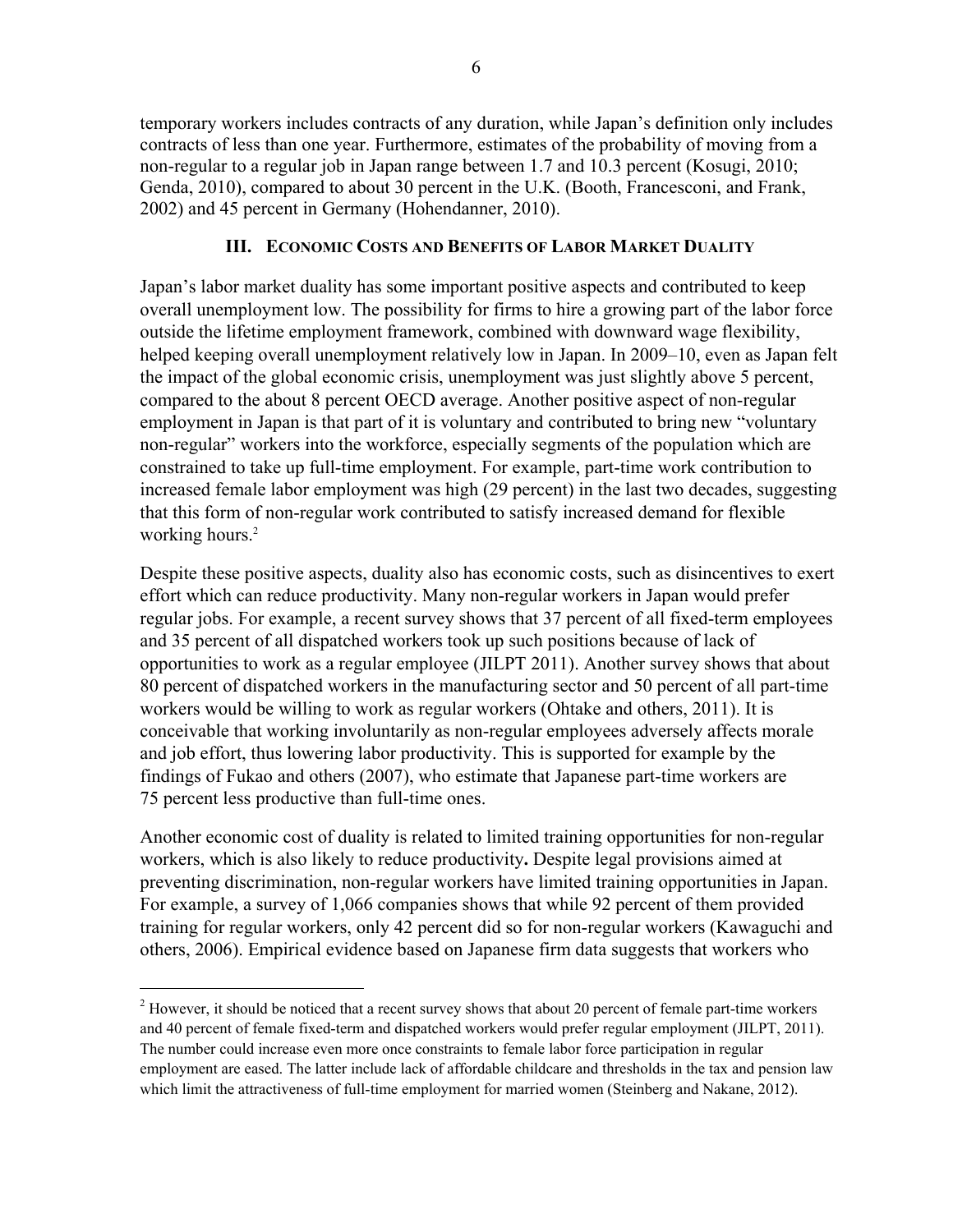temporary workers includes contracts of any duration, while Japan's definition only includes contracts of less than one year. Furthermore, estimates of the probability of moving from a non-regular to a regular job in Japan range between 1.7 and 10.3 percent (Kosugi, 2010; Genda, 2010), compared to about 30 percent in the U.K. (Booth, Francesconi, and Frank, 2002) and 45 percent in Germany (Hohendanner, 2010).

#### **III. ECONOMIC COSTS AND BENEFITS OF LABOR MARKET DUALITY**

Japan's labor market duality has some important positive aspects and contributed to keep overall unemployment low. The possibility for firms to hire a growing part of the labor force outside the lifetime employment framework, combined with downward wage flexibility, helped keeping overall unemployment relatively low in Japan. In 2009–10, even as Japan felt the impact of the global economic crisis, unemployment was just slightly above 5 percent, compared to the about 8 percent OECD average. Another positive aspect of non-regular employment in Japan is that part of it is voluntary and contributed to bring new "voluntary non-regular" workers into the workforce, especially segments of the population which are constrained to take up full-time employment. For example, part-time work contribution to increased female labor employment was high (29 percent) in the last two decades, suggesting that this form of non-regular work contributed to satisfy increased demand for flexible working hours.<sup>2</sup>

Despite these positive aspects, duality also has economic costs, such as disincentives to exert effort which can reduce productivity. Many non-regular workers in Japan would prefer regular jobs. For example, a recent survey shows that 37 percent of all fixed-term employees and 35 percent of all dispatched workers took up such positions because of lack of opportunities to work as a regular employee (JILPT 2011). Another survey shows that about 80 percent of dispatched workers in the manufacturing sector and 50 percent of all part-time workers would be willing to work as regular workers (Ohtake and others, 2011). It is conceivable that working involuntarily as non-regular employees adversely affects morale and job effort, thus lowering labor productivity. This is supported for example by the findings of Fukao and others (2007), who estimate that Japanese part-time workers are 75 percent less productive than full-time ones.

Another economic cost of duality is related to limited training opportunities for non-regular workers, which is also likely to reduce productivity**.** Despite legal provisions aimed at preventing discrimination, non-regular workers have limited training opportunities in Japan. For example, a survey of 1,066 companies shows that while 92 percent of them provided training for regular workers, only 42 percent did so for non-regular workers (Kawaguchi and others, 2006). Empirical evidence based on Japanese firm data suggests that workers who

 $\overline{a}$ 

 $2^2$  However, it should be noticed that a recent survey shows that about 20 percent of female part-time workers and 40 percent of female fixed-term and dispatched workers would prefer regular employment (JILPT, 2011). The number could increase even more once constraints to female labor force participation in regular employment are eased. The latter include lack of affordable childcare and thresholds in the tax and pension law which limit the attractiveness of full-time employment for married women (Steinberg and Nakane, 2012).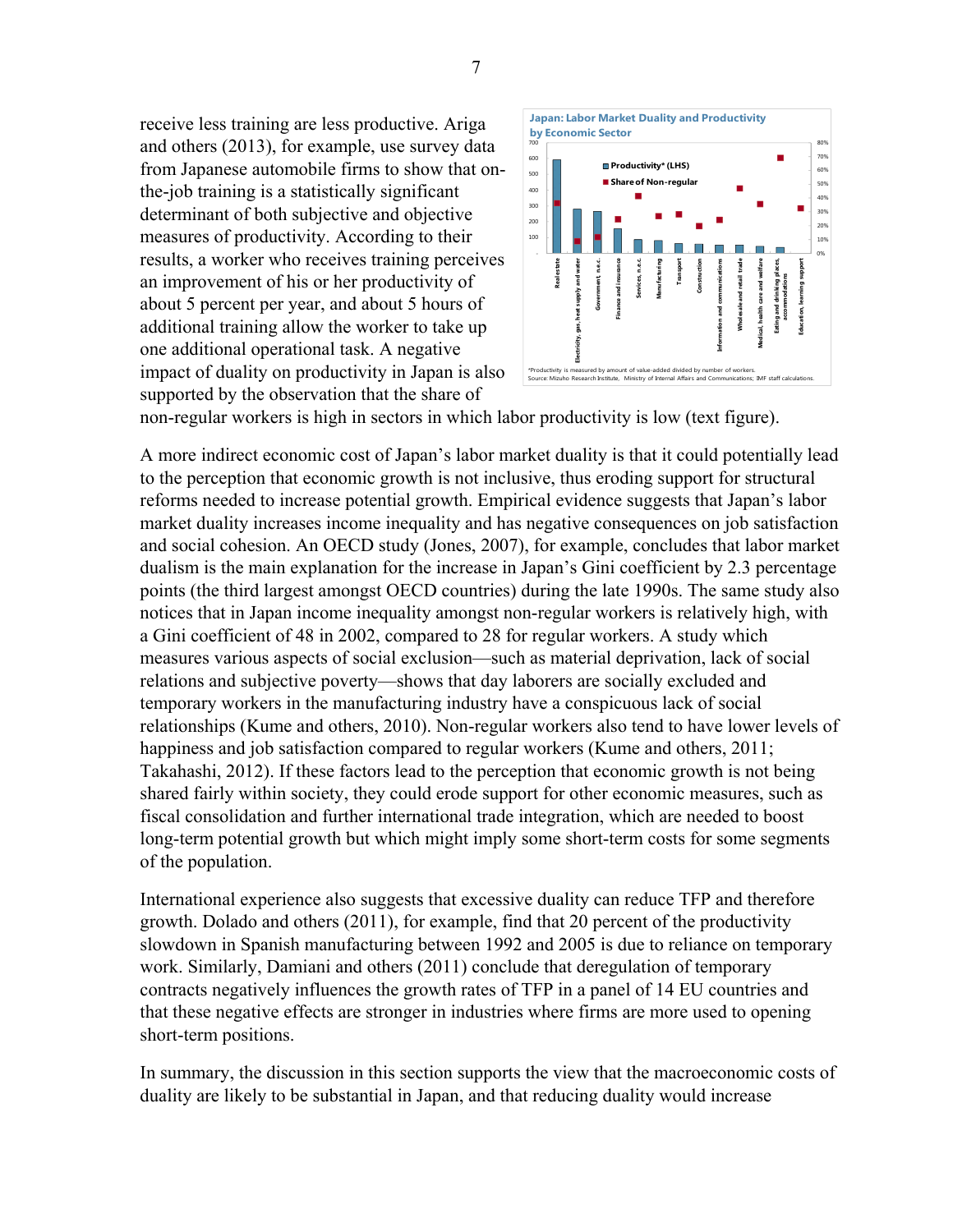receive less training are less productive. Ariga and others (2013), for example, use survey data from Japanese automobile firms to show that onthe-job training is a statistically significant determinant of both subjective and objective measures of productivity. According to their results, a worker who receives training perceives an improvement of his or her productivity of about 5 percent per year, and about 5 hours of additional training allow the worker to take up one additional operational task. A negative impact of duality on productivity in Japan is also supported by the observation that the share of



non-regular workers is high in sectors in which labor productivity is low (text figure).

A more indirect economic cost of Japan's labor market duality is that it could potentially lead to the perception that economic growth is not inclusive, thus eroding support for structural reforms needed to increase potential growth. Empirical evidence suggests that Japan's labor market duality increases income inequality and has negative consequences on job satisfaction and social cohesion. An OECD study (Jones, 2007), for example, concludes that labor market dualism is the main explanation for the increase in Japan's Gini coefficient by 2.3 percentage points (the third largest amongst OECD countries) during the late 1990s. The same study also notices that in Japan income inequality amongst non-regular workers is relatively high, with a Gini coefficient of 48 in 2002, compared to 28 for regular workers. A study which measures various aspects of social exclusion—such as material deprivation, lack of social relations and subjective poverty—shows that day laborers are socially excluded and temporary workers in the manufacturing industry have a conspicuous lack of social relationships (Kume and others, 2010). Non-regular workers also tend to have lower levels of happiness and job satisfaction compared to regular workers (Kume and others, 2011; Takahashi, 2012). If these factors lead to the perception that economic growth is not being shared fairly within society, they could erode support for other economic measures, such as fiscal consolidation and further international trade integration, which are needed to boost long-term potential growth but which might imply some short-term costs for some segments of the population.

International experience also suggests that excessive duality can reduce TFP and therefore growth. Dolado and others (2011), for example, find that 20 percent of the productivity slowdown in Spanish manufacturing between 1992 and 2005 is due to reliance on temporary work. Similarly, Damiani and others (2011) conclude that deregulation of temporary contracts negatively influences the growth rates of TFP in a panel of 14 EU countries and that these negative effects are stronger in industries where firms are more used to opening short-term positions.

In summary, the discussion in this section supports the view that the macroeconomic costs of duality are likely to be substantial in Japan, and that reducing duality would increase

7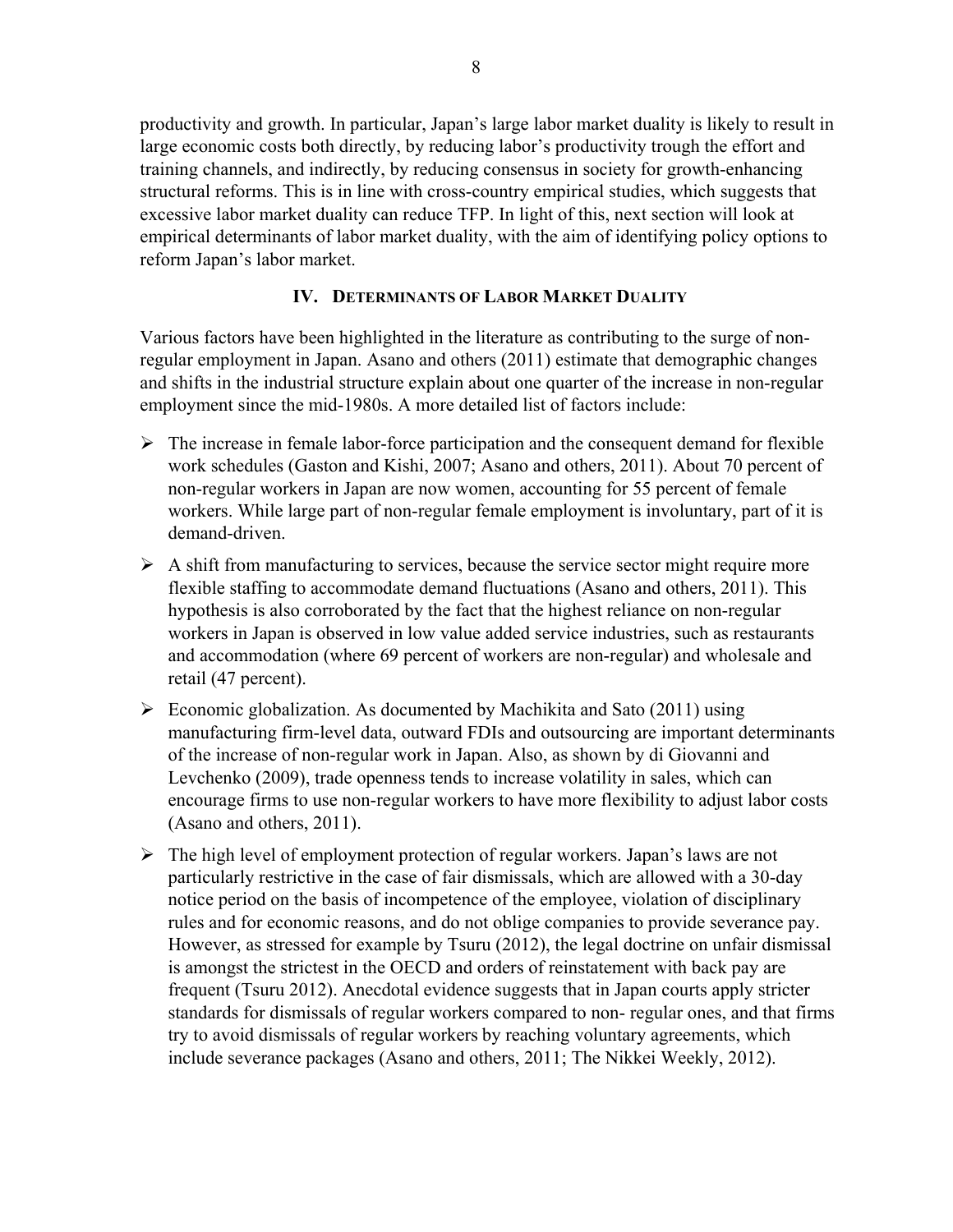productivity and growth. In particular, Japan's large labor market duality is likely to result in large economic costs both directly, by reducing labor's productivity trough the effort and training channels, and indirectly, by reducing consensus in society for growth-enhancing structural reforms. This is in line with cross-country empirical studies, which suggests that excessive labor market duality can reduce TFP. In light of this, next section will look at empirical determinants of labor market duality, with the aim of identifying policy options to reform Japan's labor market.

# **IV. DETERMINANTS OF LABOR MARKET DUALITY**

Various factors have been highlighted in the literature as contributing to the surge of nonregular employment in Japan. Asano and others (2011) estimate that demographic changes and shifts in the industrial structure explain about one quarter of the increase in non-regular employment since the mid-1980s. A more detailed list of factors include:

- $\triangleright$  The increase in female labor-force participation and the consequent demand for flexible work schedules (Gaston and Kishi, 2007; Asano and others, 2011). About 70 percent of non-regular workers in Japan are now women, accounting for 55 percent of female workers. While large part of non-regular female employment is involuntary, part of it is demand-driven.
- $\triangleright$  A shift from manufacturing to services, because the service sector might require more flexible staffing to accommodate demand fluctuations (Asano and others, 2011). This hypothesis is also corroborated by the fact that the highest reliance on non-regular workers in Japan is observed in low value added service industries, such as restaurants and accommodation (where 69 percent of workers are non-regular) and wholesale and retail (47 percent).
- $\triangleright$  Economic globalization. As documented by Machikita and Sato (2011) using manufacturing firm-level data, outward FDIs and outsourcing are important determinants of the increase of non-regular work in Japan. Also, as shown by di Giovanni and Levchenko (2009), trade openness tends to increase volatility in sales, which can encourage firms to use non-regular workers to have more flexibility to adjust labor costs (Asano and others, 2011).
- $\triangleright$  The high level of employment protection of regular workers. Japan's laws are not particularly restrictive in the case of fair dismissals, which are allowed with a 30-day notice period on the basis of incompetence of the employee, violation of disciplinary rules and for economic reasons, and do not oblige companies to provide severance pay. However, as stressed for example by Tsuru (2012), the legal doctrine on unfair dismissal is amongst the strictest in the OECD and orders of reinstatement with back pay are frequent (Tsuru 2012). Anecdotal evidence suggests that in Japan courts apply stricter standards for dismissals of regular workers compared to non- regular ones, and that firms try to avoid dismissals of regular workers by reaching voluntary agreements, which include severance packages (Asano and others, 2011; The Nikkei Weekly, 2012).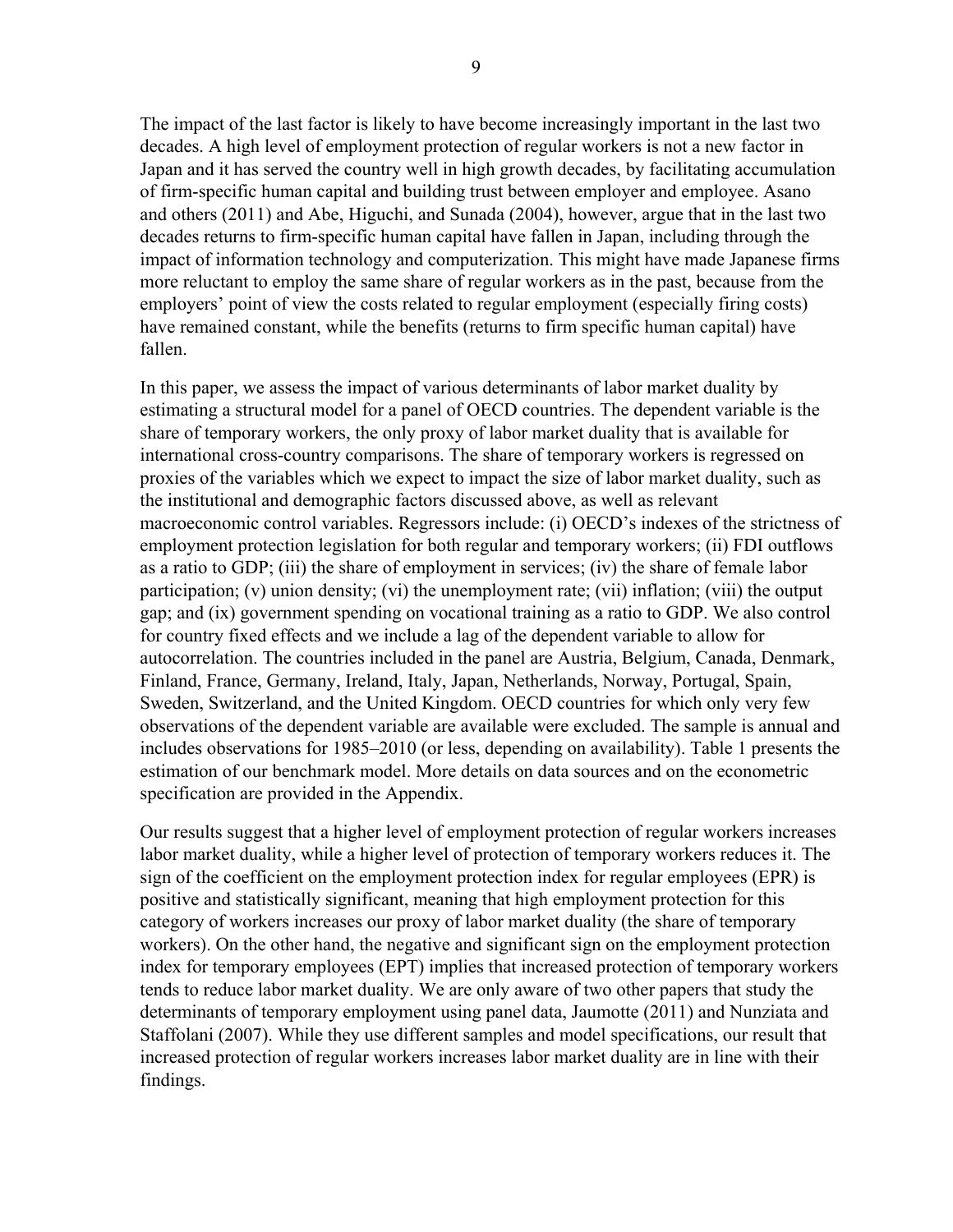The impact of the last factor is likely to have become increasingly important in the last two decades. A high level of employment protection of regular workers is not a new factor in Japan and it has served the country well in high growth decades, by facilitating accumulation of firm-specific human capital and building trust between employer and employee. Asano and others (2011) and Abe, Higuchi, and Sunada (2004), however, argue that in the last two decades returns to firm-specific human capital have fallen in Japan, including through the impact of information technology and computerization. This might have made Japanese firms more reluctant to employ the same share of regular workers as in the past, because from the employers' point of view the costs related to regular employment (especially firing costs) have remained constant, while the benefits (returns to firm specific human capital) have fallen.

In this paper, we assess the impact of various determinants of labor market duality by estimating a structural model for a panel of OECD countries. The dependent variable is the share of temporary workers, the only proxy of labor market duality that is available for international cross-country comparisons. The share of temporary workers is regressed on proxies of the variables which we expect to impact the size of labor market duality, such as the institutional and demographic factors discussed above, as well as relevant macroeconomic control variables. Regressors include: (i) OECD's indexes of the strictness of employment protection legislation for both regular and temporary workers; (ii) FDI outflows as a ratio to GDP; (iii) the share of employment in services; (iv) the share of female labor participation; (v) union density; (vi) the unemployment rate; (vii) inflation; (viii) the output gap; and (ix) government spending on vocational training as a ratio to GDP. We also control for country fixed effects and we include a lag of the dependent variable to allow for autocorrelation. The countries included in the panel are Austria, Belgium, Canada, Denmark, Finland, France, Germany, Ireland, Italy, Japan, Netherlands, Norway, Portugal, Spain, Sweden, Switzerland, and the United Kingdom. OECD countries for which only very few observations of the dependent variable are available were excluded. The sample is annual and includes observations for 1985–2010 (or less, depending on availability). Table 1 presents the estimation of our benchmark model. More details on data sources and on the econometric specification are provided in the Appendix.

Our results suggest that a higher level of employment protection of regular workers increases labor market duality, while a higher level of protection of temporary workers reduces it. The sign of the coefficient on the employment protection index for regular employees (EPR) is positive and statistically significant, meaning that high employment protection for this category of workers increases our proxy of labor market duality (the share of temporary workers). On the other hand, the negative and significant sign on the employment protection index for temporary employees (EPT) implies that increased protection of temporary workers tends to reduce labor market duality. We are only aware of two other papers that study the determinants of temporary employment using panel data, Jaumotte (2011) and Nunziata and Staffolani (2007). While they use different samples and model specifications, our result that increased protection of regular workers increases labor market duality are in line with their findings.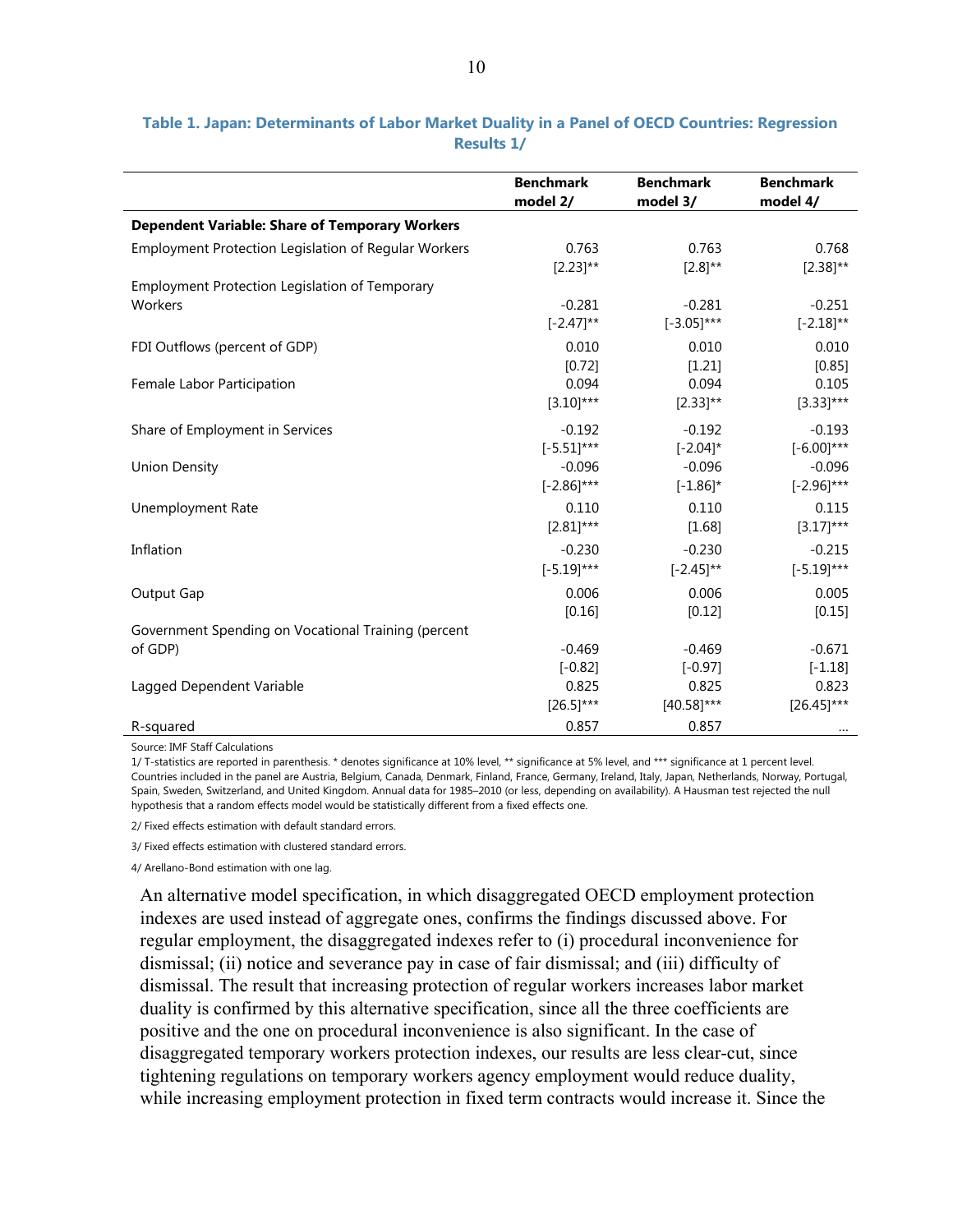|                                                       | <b>Benchmark</b>            | <b>Benchmark</b> | <b>Benchmark</b> |
|-------------------------------------------------------|-----------------------------|------------------|------------------|
|                                                       | model 2/                    | model 3/         | model 4/         |
| <b>Dependent Variable: Share of Temporary Workers</b> |                             |                  |                  |
| Employment Protection Legislation of Regular Workers  | 0.763                       | 0.763            | 0.768            |
|                                                       | $[2.23]$ **                 | $[2.8]$ **       | $[2.38]$ **      |
| <b>Employment Protection Legislation of Temporary</b> |                             |                  |                  |
| Workers                                               | $-0.281$                    | $-0.281$         | $-0.251$         |
|                                                       | $[-2.47]$ **                | $[-3.05]$ ***    | $[-2.18]$ **     |
| FDI Outflows (percent of GDP)                         | 0.010                       | 0.010            | 0.010            |
|                                                       | [0.72]                      | [1.21]           | [0.85]           |
| Female Labor Participation                            | 0.094                       | 0.094            | 0.105            |
|                                                       | $[3.10]***$                 | $[2.33]$ **      | $[3.33]***$      |
| Share of Employment in Services                       | $-0.192$                    | $-0.192$         | $-0.193$         |
|                                                       | $[-5.51]$ ***               | $[-2.04]$ *      | $[-6.00]$ ***    |
| <b>Union Density</b>                                  | $-0.096$                    | $-0.096$         | $-0.096$         |
|                                                       | $[-2.86]$ ***               | $[-1.86]$ *      | $[-2.96]$ ***    |
| <b>Unemployment Rate</b>                              | 0.110                       | 0.110            | 0.115            |
|                                                       | $[2.81]***$                 | [1.68]           | $[3.17]$ ***     |
| Inflation                                             | $-0.230$                    | $-0.230$         | $-0.215$         |
|                                                       | $[-5.19]^{\star\star\star}$ | $[-2.45]$ **     | $[-5.19]$ ***    |
| Output Gap                                            | 0.006                       | 0.006            | 0.005            |
|                                                       | [0.16]                      | [0.12]           | [0.15]           |
| Government Spending on Vocational Training (percent   |                             |                  |                  |
| of GDP)                                               | $-0.469$                    | $-0.469$         | $-0.671$         |
|                                                       | $[-0.82]$                   | $[-0.97]$        | $[-1.18]$        |
| Lagged Dependent Variable                             | 0.825                       | 0.825            | 0.823            |
|                                                       | $[26.5]***$                 | $[40.58]$ ***    | $[26.45]$ ***    |
| R-squared                                             | 0.857                       | 0.857            | $\cdots$         |

#### **Table 1. Japan: Determinants of Labor Market Duality in a Panel of OECD Countries: Regression Results 1/**

Source: IMF Staff Calculations

1/ T-statistics are reported in parenthesis. \* denotes significance at 10% level, \*\* significance at 5% level, and \*\*\* significance at 1 percent level. Countries included in the panel are Austria, Belgium, Canada, Denmark, Finland, France, Germany, Ireland, Italy, Japan, Netherlands, Norway, Portugal, Spain, Sweden, Switzerland, and United Kingdom. Annual data for 1985–2010 (or less, depending on availability). A Hausman test rejected the null hypothesis that a random effects model would be statistically different from a fixed effects one.

2/ Fixed effects estimation with default standard errors.

3/ Fixed effects estimation with clustered standard errors.

4/ Arellano-Bond estimation with one lag.

An alternative model specification, in which disaggregated OECD employment protection indexes are used instead of aggregate ones, confirms the findings discussed above. For regular employment, the disaggregated indexes refer to (i) procedural inconvenience for dismissal; (ii) notice and severance pay in case of fair dismissal; and (iii) difficulty of dismissal. The result that increasing protection of regular workers increases labor market duality is confirmed by this alternative specification, since all the three coefficients are positive and the one on procedural inconvenience is also significant. In the case of disaggregated temporary workers protection indexes, our results are less clear-cut, since tightening regulations on temporary workers agency employment would reduce duality, while increasing employment protection in fixed term contracts would increase it. Since the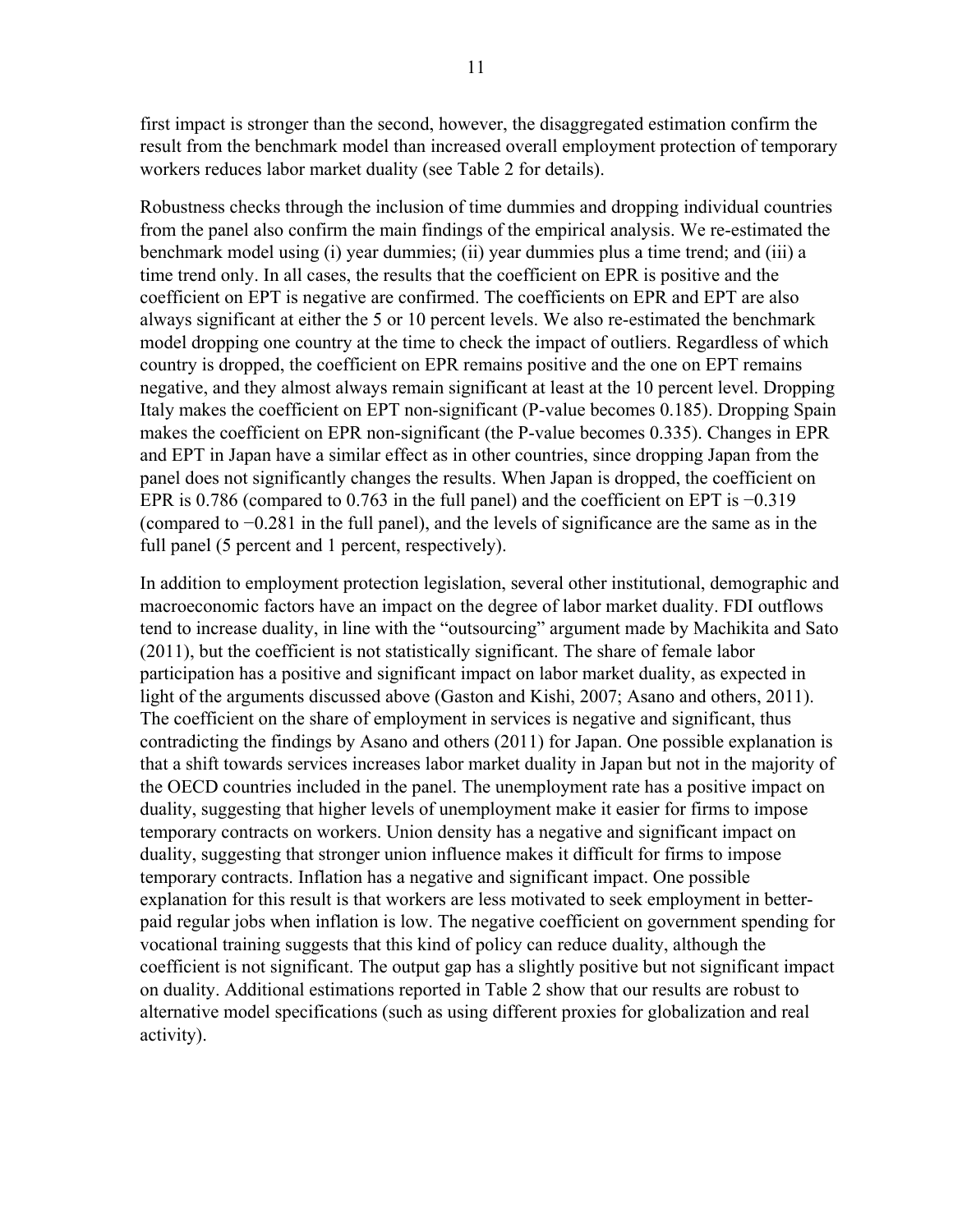first impact is stronger than the second, however, the disaggregated estimation confirm the result from the benchmark model than increased overall employment protection of temporary workers reduces labor market duality (see Table 2 for details).

Robustness checks through the inclusion of time dummies and dropping individual countries from the panel also confirm the main findings of the empirical analysis. We re-estimated the benchmark model using (i) year dummies; (ii) year dummies plus a time trend; and (iii) a time trend only. In all cases, the results that the coefficient on EPR is positive and the coefficient on EPT is negative are confirmed. The coefficients on EPR and EPT are also always significant at either the 5 or 10 percent levels. We also re-estimated the benchmark model dropping one country at the time to check the impact of outliers. Regardless of which country is dropped, the coefficient on EPR remains positive and the one on EPT remains negative, and they almost always remain significant at least at the 10 percent level. Dropping Italy makes the coefficient on EPT non-significant (P-value becomes 0.185). Dropping Spain makes the coefficient on EPR non-significant (the P-value becomes 0.335). Changes in EPR and EPT in Japan have a similar effect as in other countries, since dropping Japan from the panel does not significantly changes the results. When Japan is dropped, the coefficient on EPR is 0.786 (compared to 0.763 in the full panel) and the coefficient on EPT is −0.319 (compared to −0.281 in the full panel), and the levels of significance are the same as in the full panel (5 percent and 1 percent, respectively).

In addition to employment protection legislation, several other institutional, demographic and macroeconomic factors have an impact on the degree of labor market duality. FDI outflows tend to increase duality, in line with the "outsourcing" argument made by Machikita and Sato (2011), but the coefficient is not statistically significant. The share of female labor participation has a positive and significant impact on labor market duality, as expected in light of the arguments discussed above (Gaston and Kishi, 2007; Asano and others, 2011). The coefficient on the share of employment in services is negative and significant, thus contradicting the findings by Asano and others (2011) for Japan. One possible explanation is that a shift towards services increases labor market duality in Japan but not in the majority of the OECD countries included in the panel. The unemployment rate has a positive impact on duality, suggesting that higher levels of unemployment make it easier for firms to impose temporary contracts on workers. Union density has a negative and significant impact on duality, suggesting that stronger union influence makes it difficult for firms to impose temporary contracts. Inflation has a negative and significant impact. One possible explanation for this result is that workers are less motivated to seek employment in betterpaid regular jobs when inflation is low. The negative coefficient on government spending for vocational training suggests that this kind of policy can reduce duality, although the coefficient is not significant. The output gap has a slightly positive but not significant impact on duality. Additional estimations reported in Table 2 show that our results are robust to alternative model specifications (such as using different proxies for globalization and real activity).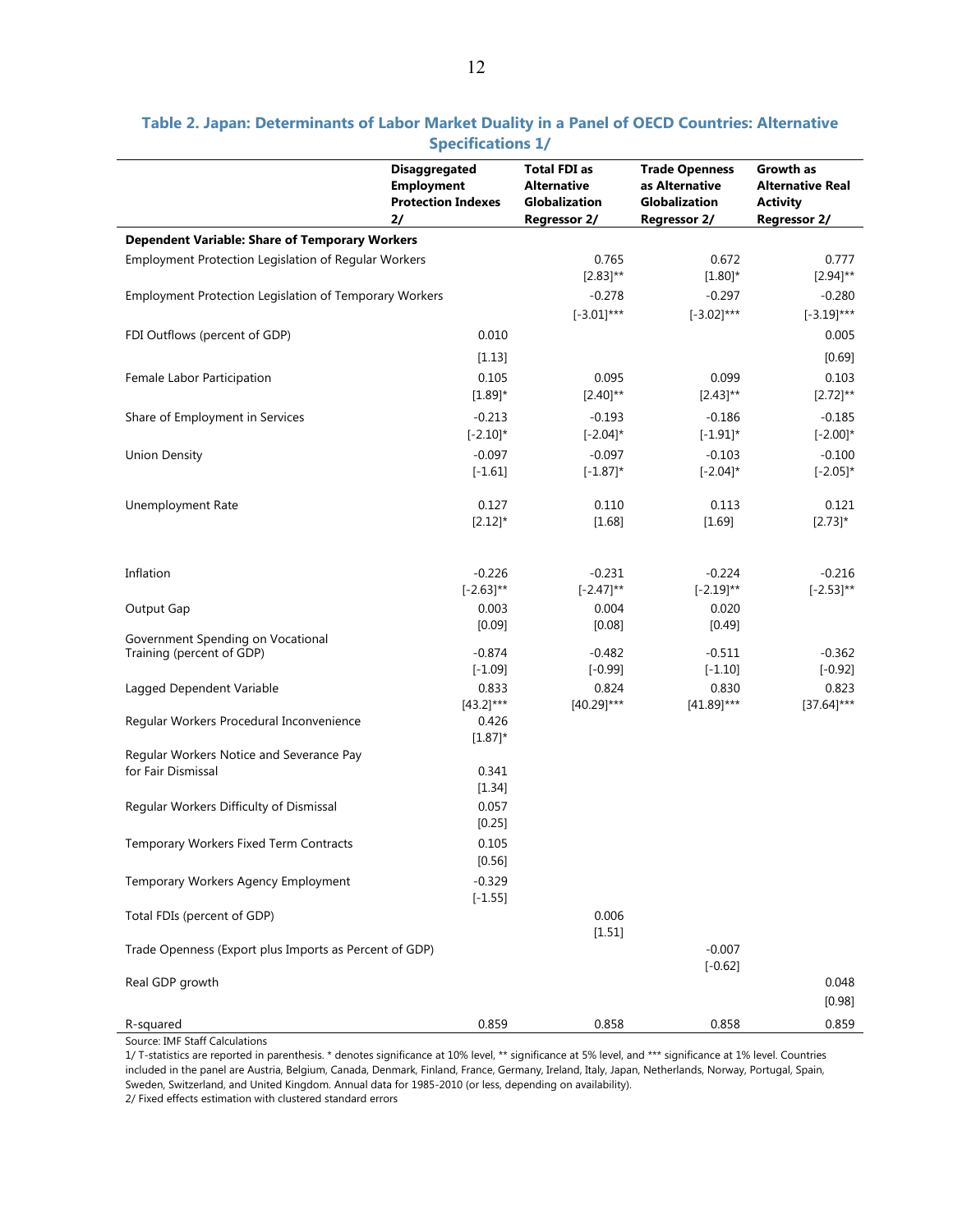|                                                                | <b>Disaggregated</b><br><b>Employment</b><br><b>Protection Indexes</b><br>2/ | <b>Total FDI as</b><br><b>Alternative</b><br><b>Globalization</b><br><b>Regressor 2/</b> | <b>Trade Openness</b><br>as Alternative<br>Globalization<br><b>Regressor 2/</b> | Growth as<br><b>Alternative Real</b><br><b>Activity</b><br><b>Regressor 2/</b> |
|----------------------------------------------------------------|------------------------------------------------------------------------------|------------------------------------------------------------------------------------------|---------------------------------------------------------------------------------|--------------------------------------------------------------------------------|
| <b>Dependent Variable: Share of Temporary Workers</b>          |                                                                              |                                                                                          |                                                                                 |                                                                                |
| Employment Protection Legislation of Regular Workers           |                                                                              | 0.765<br>$[2.83]$ **                                                                     | 0.672<br>$[1.80]$ *                                                             | 0.777<br>$[2.94]$ **                                                           |
| Employment Protection Legislation of Temporary Workers         |                                                                              | $-0.278$<br>$[-3.01]$ ***                                                                | $-0.297$<br>$[-3.02]***$                                                        | $-0.280$<br>$[-3.19]$ ***                                                      |
| FDI Outflows (percent of GDP)                                  | 0.010                                                                        |                                                                                          |                                                                                 | 0.005                                                                          |
|                                                                | [1.13]                                                                       |                                                                                          |                                                                                 | [0.69]                                                                         |
| Female Labor Participation                                     | 0.105<br>$[1.89]$ *                                                          | 0.095<br>$[2.40]$ **                                                                     | 0.099<br>$[2.43]$ **                                                            | 0.103<br>$[2.72]$ **                                                           |
| Share of Employment in Services                                | $-0.213$                                                                     | $-0.193$                                                                                 | $-0.186$                                                                        | $-0.185$                                                                       |
|                                                                | $[-2.10]$ *                                                                  | $[-2.04]$ *                                                                              | $[-1.91]$ *                                                                     | $[-2.00]*$                                                                     |
| <b>Union Density</b>                                           | $-0.097$<br>$[-1.61]$                                                        | $-0.097$<br>$[-1.87]$ *                                                                  | $-0.103$<br>$[-2.04]$ *                                                         | $-0.100$<br>$[-2.05]$ *                                                        |
| <b>Unemployment Rate</b>                                       | 0.127<br>$[2.12]$ *                                                          | 0.110<br>[1.68]                                                                          | 0.113<br>[1.69]                                                                 | 0.121<br>$[2.73]$ *                                                            |
| Inflation                                                      | $-0.226$<br>$[-2.63]^{**}$                                                   | $-0.231$<br>$[-2.47]$ **                                                                 | $-0.224$<br>$[-2.19]$ **                                                        | $-0.216$<br>$[-2.53]$ **                                                       |
| Output Gap                                                     | 0.003<br>[0.09]                                                              | 0.004<br>[0.08]                                                                          | 0.020<br>[0.49]                                                                 |                                                                                |
| Government Spending on Vocational<br>Training (percent of GDP) | $-0.874$                                                                     | $-0.482$                                                                                 | $-0.511$                                                                        | $-0.362$                                                                       |
| Lagged Dependent Variable                                      | $[-1.09]$<br>0.833                                                           | $[-0.99]$<br>0.824                                                                       | $[-1.10]$<br>0.830                                                              | $[-0.92]$<br>0.823                                                             |
| Regular Workers Procedural Inconvenience                       | $[43.2]***$<br>0.426<br>$[1.87]$ *                                           | $[40.29]$ ***                                                                            | $[41.89]$ ***                                                                   | $[37.64]$ ***                                                                  |
| Regular Workers Notice and Severance Pay                       |                                                                              |                                                                                          |                                                                                 |                                                                                |
| for Fair Dismissal                                             | 0.341<br>[1.34]                                                              |                                                                                          |                                                                                 |                                                                                |
| Regular Workers Difficulty of Dismissal                        | 0.057<br>[0.25]                                                              |                                                                                          |                                                                                 |                                                                                |
| Temporary Workers Fixed Term Contracts                         | 0.105<br>[0.56]                                                              |                                                                                          |                                                                                 |                                                                                |
| Temporary Workers Agency Employment                            | $-0.329$<br>$[-1.55]$                                                        |                                                                                          |                                                                                 |                                                                                |
| Total FDIs (percent of GDP)                                    |                                                                              | 0.006<br>[1.51]                                                                          |                                                                                 |                                                                                |
| Trade Openness (Export plus Imports as Percent of GDP)         |                                                                              |                                                                                          | $-0.007$<br>$[-0.62]$                                                           |                                                                                |
| Real GDP growth                                                |                                                                              |                                                                                          |                                                                                 | 0.048<br>[0.98]                                                                |
| R-squared                                                      | 0.859                                                                        | 0.858                                                                                    | 0.858                                                                           | 0.859                                                                          |

# **Table 2. Japan: Determinants of Labor Market Duality in a Panel of OECD Countries: Alternative Specifications 1/**

Source: IMF Staff Calculations

1/ T-statistics are reported in parenthesis. \* denotes significance at 10% level, \*\* significance at 5% level, and \*\*\* significance at 1% level. Countries included in the panel are Austria, Belgium, Canada, Denmark, Finland, France, Germany, Ireland, Italy, Japan, Netherlands, Norway, Portugal, Spain, Sweden, Switzerland, and United Kingdom. Annual data for 1985-2010 (or less, depending on availability).

2/ Fixed effects estimation with clustered standard errors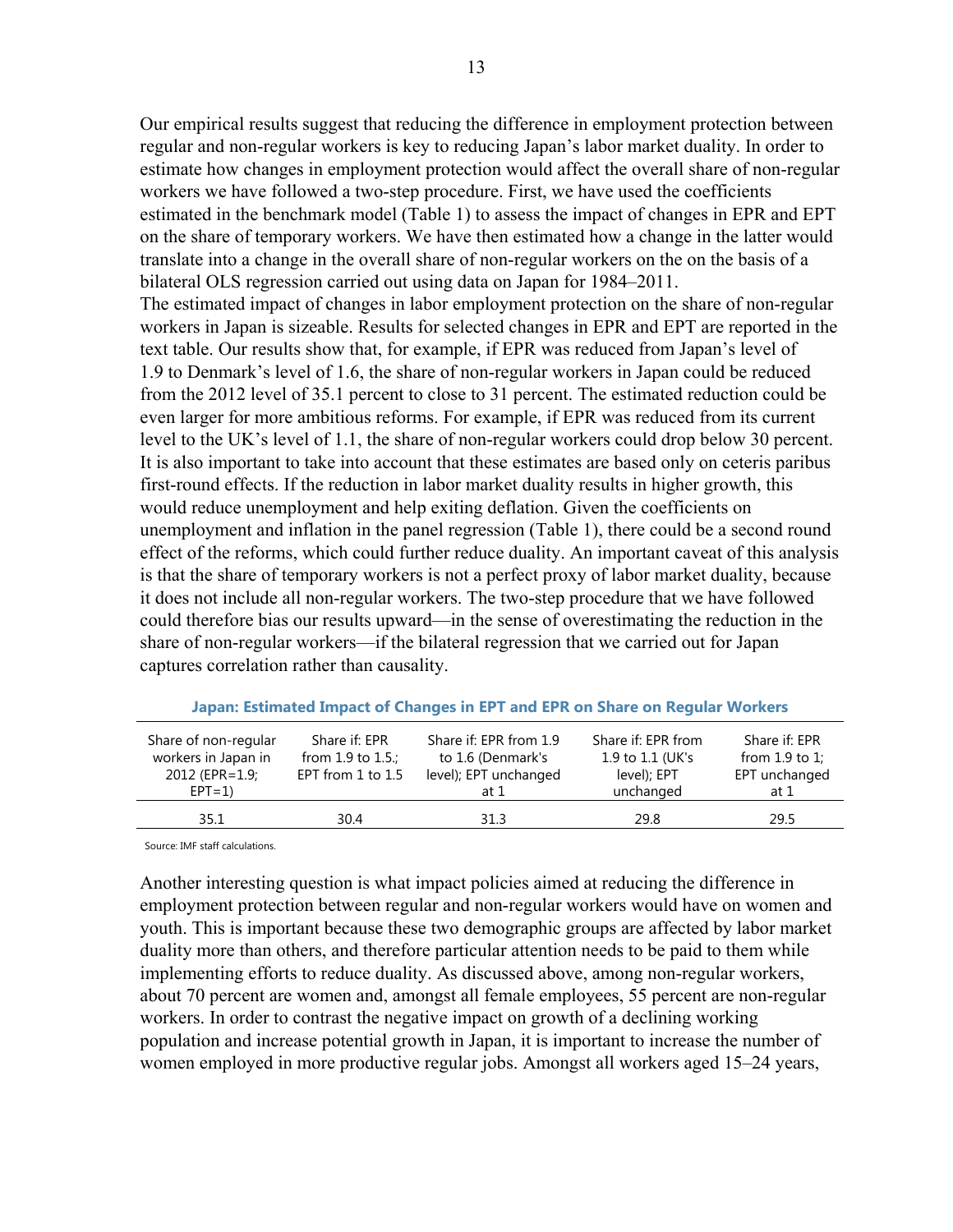Our empirical results suggest that reducing the difference in employment protection between regular and non-regular workers is key to reducing Japan's labor market duality. In order to estimate how changes in employment protection would affect the overall share of non-regular workers we have followed a two-step procedure. First, we have used the coefficients estimated in the benchmark model (Table 1) to assess the impact of changes in EPR and EPT on the share of temporary workers. We have then estimated how a change in the latter would translate into a change in the overall share of non-regular workers on the on the basis of a bilateral OLS regression carried out using data on Japan for 1984–2011.

The estimated impact of changes in labor employment protection on the share of non-regular workers in Japan is sizeable. Results for selected changes in EPR and EPT are reported in the text table. Our results show that, for example, if EPR was reduced from Japan's level of 1.9 to Denmark's level of 1.6, the share of non-regular workers in Japan could be reduced from the 2012 level of 35.1 percent to close to 31 percent. The estimated reduction could be even larger for more ambitious reforms. For example, if EPR was reduced from its current level to the UK's level of 1.1, the share of non-regular workers could drop below 30 percent. It is also important to take into account that these estimates are based only on ceteris paribus first-round effects. If the reduction in labor market duality results in higher growth, this would reduce unemployment and help exiting deflation. Given the coefficients on unemployment and inflation in the panel regression (Table 1), there could be a second round effect of the reforms, which could further reduce duality. An important caveat of this analysis is that the share of temporary workers is not a perfect proxy of labor market duality, because it does not include all non-regular workers. The two-step procedure that we have followed could therefore bias our results upward—in the sense of overestimating the reduction in the share of non-regular workers—if the bilateral regression that we carried out for Japan captures correlation rather than causality.

| Share of non-regular<br>workers in Japan in<br>2012 (EPR=1.9;<br>$EPT=1$ | Share if: EPR<br>from 1.9 to 1.5.;<br>EPT from 1 to 1.5 | Share if: EPR from 1.9<br>to 1.6 (Denmark's<br>level); EPT unchanged<br>at 1 | Share if: EPR from<br>1.9 to 1.1 (UK's<br>level); EPT<br>unchanged | Share if: EPR<br>from $1.9$ to $1$ ;<br>EPT unchanged<br>at $1$ |
|--------------------------------------------------------------------------|---------------------------------------------------------|------------------------------------------------------------------------------|--------------------------------------------------------------------|-----------------------------------------------------------------|
| 35.1                                                                     | 30.4                                                    | 31.3                                                                         | 29.8                                                               | 29.5                                                            |

| <b>Japan: Estimated Impact of Changes in EPT and EPR on Share on Regular Workers</b> |  |
|--------------------------------------------------------------------------------------|--|
|--------------------------------------------------------------------------------------|--|

Source: IMF staff calculations.

Another interesting question is what impact policies aimed at reducing the difference in employment protection between regular and non-regular workers would have on women and youth. This is important because these two demographic groups are affected by labor market duality more than others, and therefore particular attention needs to be paid to them while implementing efforts to reduce duality. As discussed above, among non-regular workers, about 70 percent are women and, amongst all female employees, 55 percent are non-regular workers. In order to contrast the negative impact on growth of a declining working population and increase potential growth in Japan, it is important to increase the number of women employed in more productive regular jobs. Amongst all workers aged 15–24 years,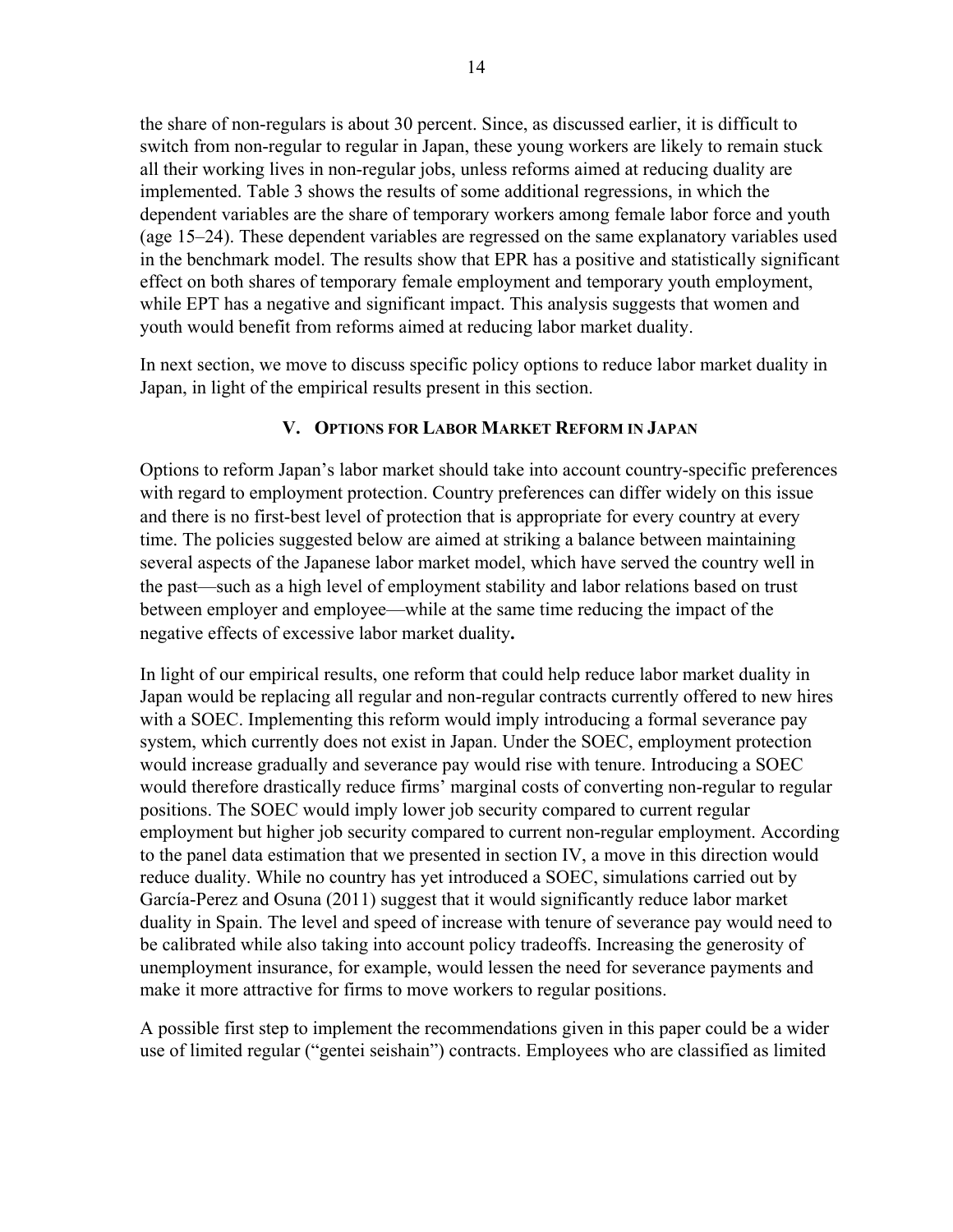the share of non-regulars is about 30 percent. Since, as discussed earlier, it is difficult to switch from non-regular to regular in Japan, these young workers are likely to remain stuck all their working lives in non-regular jobs, unless reforms aimed at reducing duality are implemented. Table 3 shows the results of some additional regressions, in which the dependent variables are the share of temporary workers among female labor force and youth (age 15–24). These dependent variables are regressed on the same explanatory variables used in the benchmark model. The results show that EPR has a positive and statistically significant effect on both shares of temporary female employment and temporary youth employment, while EPT has a negative and significant impact. This analysis suggests that women and youth would benefit from reforms aimed at reducing labor market duality.

In next section, we move to discuss specific policy options to reduce labor market duality in Japan, in light of the empirical results present in this section.

# **V. OPTIONS FOR LABOR MARKET REFORM IN JAPAN**

Options to reform Japan's labor market should take into account country-specific preferences with regard to employment protection. Country preferences can differ widely on this issue and there is no first-best level of protection that is appropriate for every country at every time. The policies suggested below are aimed at striking a balance between maintaining several aspects of the Japanese labor market model, which have served the country well in the past—such as a high level of employment stability and labor relations based on trust between employer and employee—while at the same time reducing the impact of the negative effects of excessive labor market duality**.** 

In light of our empirical results, one reform that could help reduce labor market duality in Japan would be replacing all regular and non-regular contracts currently offered to new hires with a SOEC. Implementing this reform would imply introducing a formal severance pay system, which currently does not exist in Japan. Under the SOEC, employment protection would increase gradually and severance pay would rise with tenure. Introducing a SOEC would therefore drastically reduce firms' marginal costs of converting non-regular to regular positions. The SOEC would imply lower job security compared to current regular employment but higher job security compared to current non-regular employment. According to the panel data estimation that we presented in section IV, a move in this direction would reduce duality. While no country has yet introduced a SOEC, simulations carried out by García-Perez and Osuna (2011) suggest that it would significantly reduce labor market duality in Spain. The level and speed of increase with tenure of severance pay would need to be calibrated while also taking into account policy tradeoffs. Increasing the generosity of unemployment insurance, for example, would lessen the need for severance payments and make it more attractive for firms to move workers to regular positions.

A possible first step to implement the recommendations given in this paper could be a wider use of limited regular ("gentei seishain") contracts. Employees who are classified as limited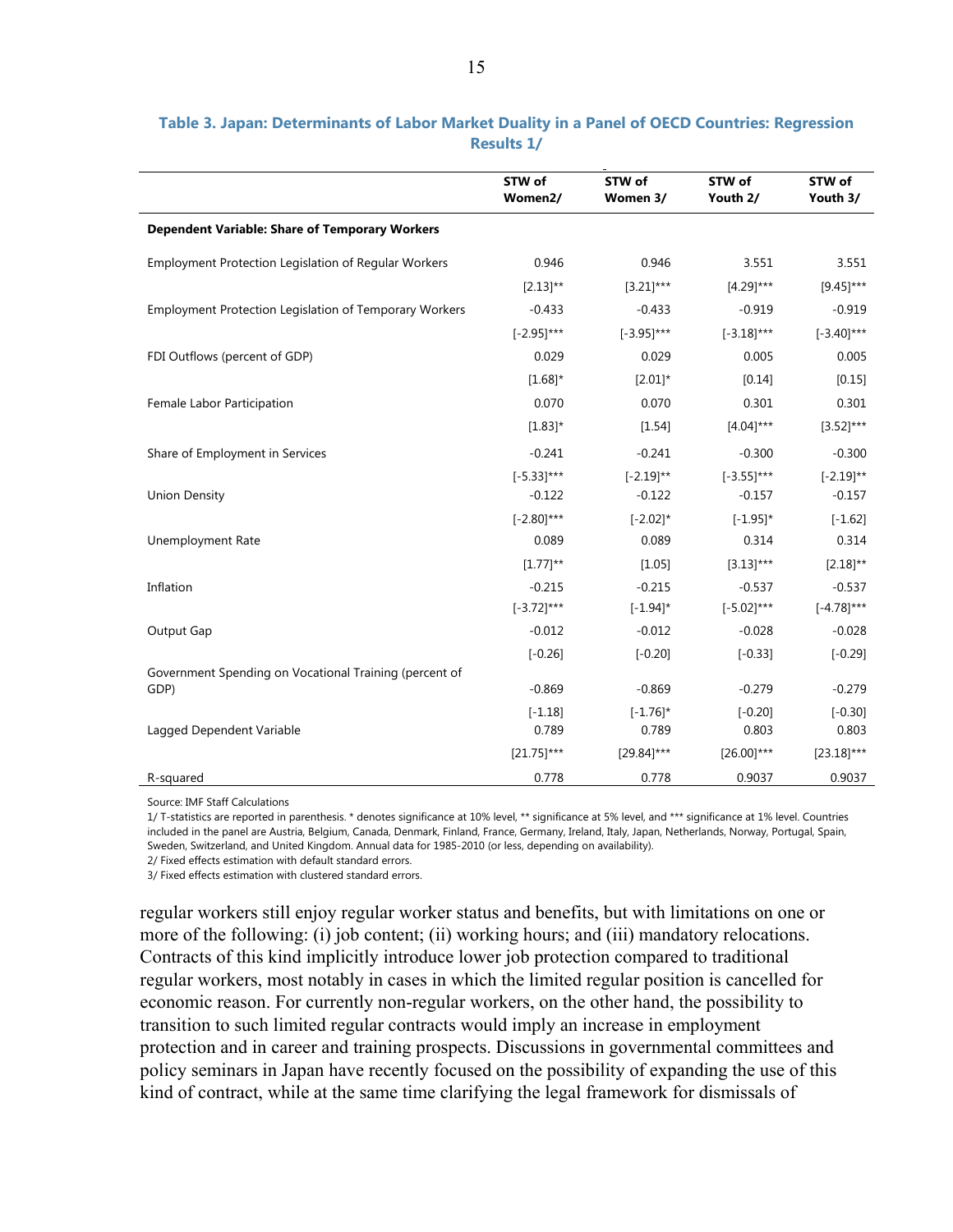|                                                               | STW of<br>Women2/  | STW of<br>Women 3/   | STW of<br>Youth 2/ | STW of<br>Youth 3/ |
|---------------------------------------------------------------|--------------------|----------------------|--------------------|--------------------|
| <b>Dependent Variable: Share of Temporary Workers</b>         |                    |                      |                    |                    |
| <b>Employment Protection Legislation of Regular Workers</b>   | 0.946              | 0.946                | 3.551              | 3.551              |
|                                                               | $[2.13]$ **        | $[3.21]$ ***         | $[4.29]$ ***       | $[9.45]$ ***       |
| <b>Employment Protection Legislation of Temporary Workers</b> | $-0.433$           | $-0.433$             | $-0.919$           | $-0.919$           |
|                                                               | $[-2.95]$ ***      | $[-3.95]$ ***        | $[-3.18]$ ***      | $[-3.40]$ ***      |
| FDI Outflows (percent of GDP)                                 | 0.029              | 0.029                | 0.005              | 0.005              |
|                                                               | $[1.68]$ *         | $[2.01]$ *           | [0.14]             | [0.15]             |
| Female Labor Participation                                    | 0.070              | 0.070                | 0.301              | 0.301              |
|                                                               | $[1.83]$ *         | [1.54]               | $[4.04]$ ***       | $[3.52]***$        |
| Share of Employment in Services                               | $-0.241$           | $-0.241$             | $-0.300$           | $-0.300$           |
|                                                               | $[-5.33]$ ***      | $[-2.19]$ **         | $[-3.55]$ ***      | $[-2.19]$ **       |
| <b>Union Density</b>                                          | $-0.122$           | $-0.122$             | $-0.157$           | $-0.157$           |
|                                                               | $[-2.80]$ ***      | $[-2.02]$ *          | $[-1.95]$ *        | $[-1.62]$          |
| <b>Unemployment Rate</b>                                      | 0.089              | 0.089                | 0.314              | 0.314              |
|                                                               | $[1.77]$ **        | [1.05]               | $[3.13]***$        | $[2.18]$ **        |
| Inflation                                                     | $-0.215$           | $-0.215$             | $-0.537$           | $-0.537$           |
|                                                               | $[-3.72]$ ***      | $[-1.94]$ *          | $[-5.02]$ ***      | $[-4.78]$ ***      |
| Output Gap                                                    | $-0.012$           | $-0.012$             | $-0.028$           | $-0.028$           |
|                                                               | $[-0.26]$          | $[-0.20]$            | $[-0.33]$          | $[-0.29]$          |
| Government Spending on Vocational Training (percent of        | $-0.869$           | $-0.869$             | $-0.279$           | $-0.279$           |
| GDP)                                                          |                    |                      |                    |                    |
| Lagged Dependent Variable                                     | $[-1.18]$<br>0.789 | $[-1.76]$ *<br>0.789 | $[-0.20]$<br>0.803 | $[-0.30]$<br>0.803 |
|                                                               | $[21.75]$ ***      | $[29.84]$ ***        | $[26.00]$ ***      | $[23.18]$ ***      |
| R-squared                                                     | 0.778              | 0.778                | 0.9037             | 0.9037             |

#### **Table 3. Japan: Determinants of Labor Market Duality in a Panel of OECD Countries: Regression Results 1/**

Source: IMF Staff Calculations

1/ T-statistics are reported in parenthesis. \* denotes significance at 10% level, \*\* significance at 5% level, and \*\*\* significance at 1% level. Countries included in the panel are Austria, Belgium, Canada, Denmark, Finland, France, Germany, Ireland, Italy, Japan, Netherlands, Norway, Portugal, Spain, Sweden, Switzerland, and United Kingdom. Annual data for 1985-2010 (or less, depending on availability).

2/ Fixed effects estimation with default standard errors.

3/ Fixed effects estimation with clustered standard errors.

regular workers still enjoy regular worker status and benefits, but with limitations on one or more of the following: (i) job content; (ii) working hours; and (iii) mandatory relocations. Contracts of this kind implicitly introduce lower job protection compared to traditional regular workers, most notably in cases in which the limited regular position is cancelled for economic reason. For currently non-regular workers, on the other hand, the possibility to transition to such limited regular contracts would imply an increase in employment protection and in career and training prospects. Discussions in governmental committees and policy seminars in Japan have recently focused on the possibility of expanding the use of this kind of contract, while at the same time clarifying the legal framework for dismissals of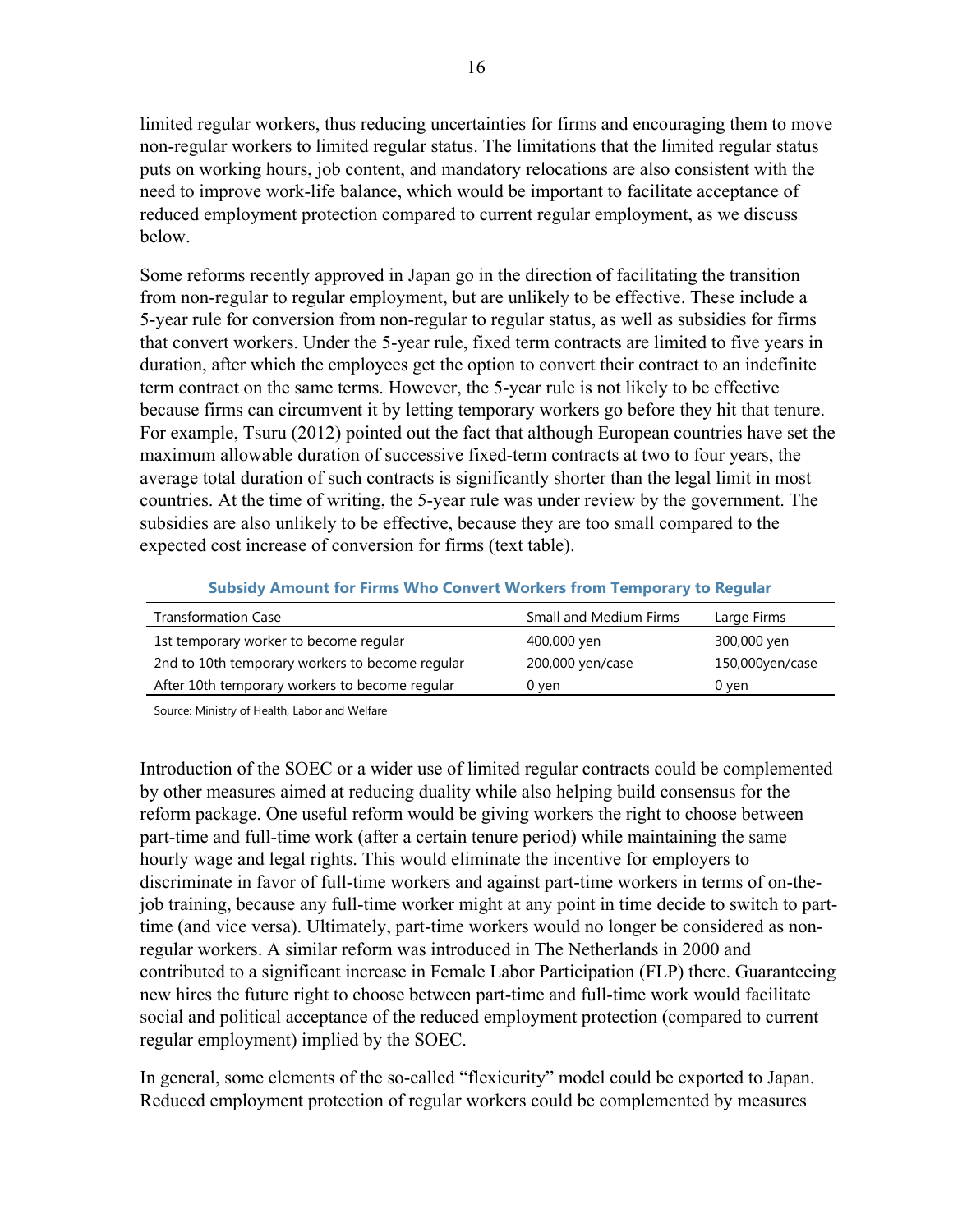limited regular workers, thus reducing uncertainties for firms and encouraging them to move non-regular workers to limited regular status. The limitations that the limited regular status puts on working hours, job content, and mandatory relocations are also consistent with the need to improve work-life balance, which would be important to facilitate acceptance of reduced employment protection compared to current regular employment, as we discuss below.

Some reforms recently approved in Japan go in the direction of facilitating the transition from non-regular to regular employment, but are unlikely to be effective. These include a 5-year rule for conversion from non-regular to regular status, as well as subsidies for firms that convert workers. Under the 5-year rule, fixed term contracts are limited to five years in duration, after which the employees get the option to convert their contract to an indefinite term contract on the same terms. However, the 5-year rule is not likely to be effective because firms can circumvent it by letting temporary workers go before they hit that tenure. For example, Tsuru (2012) pointed out the fact that although European countries have set the maximum allowable duration of successive fixed-term contracts at two to four years, the average total duration of such contracts is significantly shorter than the legal limit in most countries. At the time of writing, the 5-year rule was under review by the government. The subsidies are also unlikely to be effective, because they are too small compared to the expected cost increase of conversion for firms (text table).

| Subsidy Amount for Firms Who Convert Workers from Temporary to Regular |                        |                 |  |
|------------------------------------------------------------------------|------------------------|-----------------|--|
| <b>Transformation Case</b>                                             | Small and Medium Firms | Large Firms     |  |
| 1st temporary worker to become regular                                 | 400,000 yen            | 300,000 yen     |  |
| 2nd to 10th temporary workers to become regular                        | 200,000 yen/case       | 150,000yen/case |  |
| After 10th temporary workers to become regular                         | 0 yen                  | 0 ven           |  |

#### **Subsidy Amount for Firms Who Convert Workers from Temporary to Regular**

Source: Ministry of Health, Labor and Welfare

Introduction of the SOEC or a wider use of limited regular contracts could be complemented by other measures aimed at reducing duality while also helping build consensus for the reform package. One useful reform would be giving workers the right to choose between part-time and full-time work (after a certain tenure period) while maintaining the same hourly wage and legal rights. This would eliminate the incentive for employers to discriminate in favor of full-time workers and against part-time workers in terms of on-thejob training, because any full-time worker might at any point in time decide to switch to parttime (and vice versa). Ultimately, part-time workers would no longer be considered as nonregular workers. A similar reform was introduced in The Netherlands in 2000 and contributed to a significant increase in Female Labor Participation (FLP) there. Guaranteeing new hires the future right to choose between part-time and full-time work would facilitate social and political acceptance of the reduced employment protection (compared to current regular employment) implied by the SOEC.

In general, some elements of the so-called "flexicurity" model could be exported to Japan. Reduced employment protection of regular workers could be complemented by measures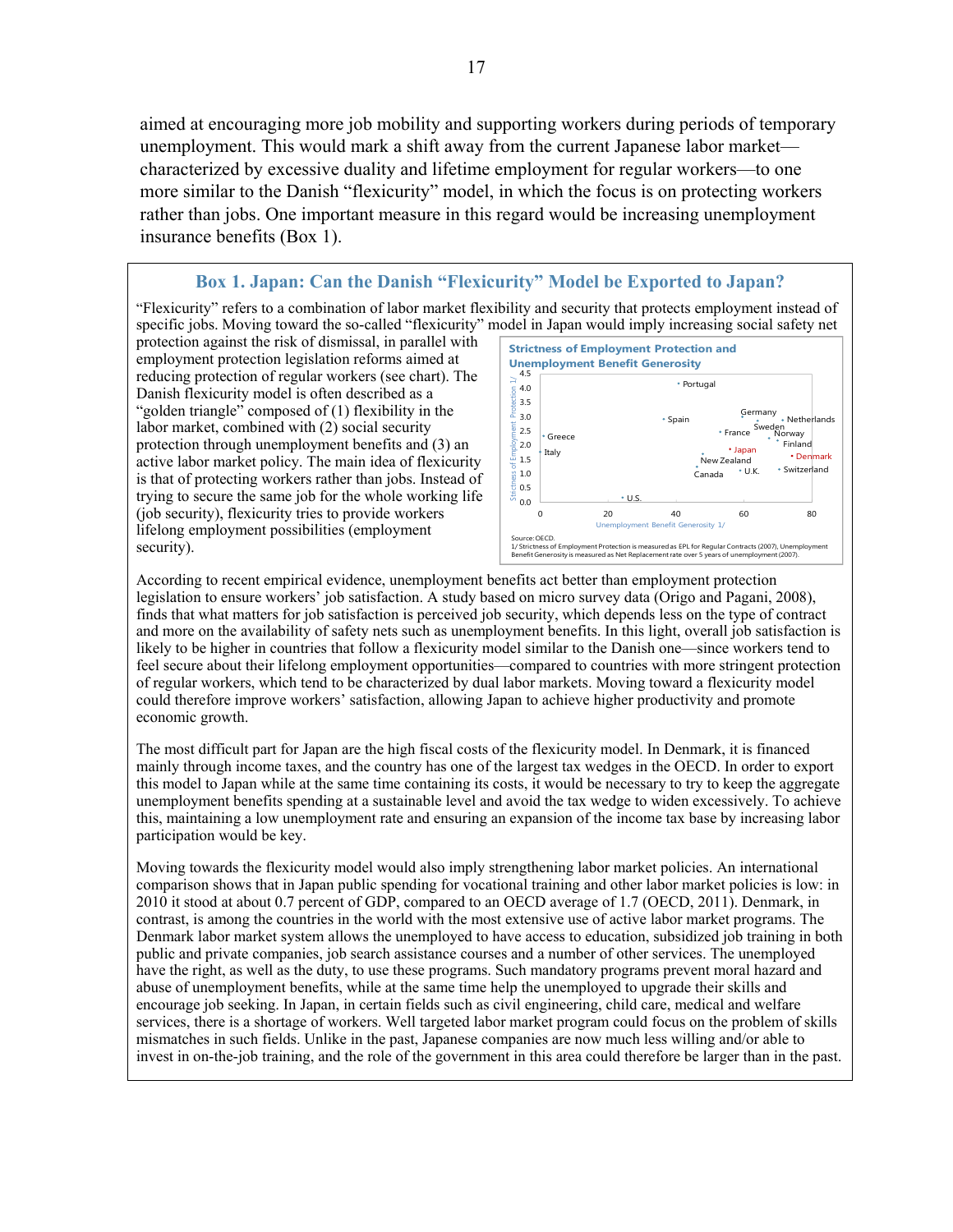aimed at encouraging more job mobility and supporting workers during periods of temporary unemployment. This would mark a shift away from the current Japanese labor market characterized by excessive duality and lifetime employment for regular workers—to one more similar to the Danish "flexicurity" model, in which the focus is on protecting workers rather than jobs. One important measure in this regard would be increasing unemployment insurance benefits (Box 1).

# **Box 1. Japan: Can the Danish "Flexicurity" Model be Exported to Japan?**

"Flexicurity" refers to a combination of labor market flexibility and security that protects employment instead of specific jobs. Moving toward the so-called "flexicurity" model in Japan would imply increasing social safety net

protection against the risk of dismissal, in parallel with employment protection legislation reforms aimed at reducing protection of regular workers (see chart). The Danish flexicurity model is often described as a "golden triangle" composed of (1) flexibility in the labor market, combined with (2) social security protection through unemployment benefits and (3) an active labor market policy. The main idea of flexicurity is that of protecting workers rather than jobs. Instead of trying to secure the same job for the whole working life (job security), flexicurity tries to provide workers lifelong employment possibilities (employment security).



According to recent empirical evidence, unemployment benefits act better than employment protection legislation to ensure workers' job satisfaction. A study based on micro survey data (Origo and Pagani, 2008), finds that what matters for job satisfaction is perceived job security, which depends less on the type of contract and more on the availability of safety nets such as unemployment benefits. In this light, overall job satisfaction is likely to be higher in countries that follow a flexicurity model similar to the Danish one—since workers tend to feel secure about their lifelong employment opportunities—compared to countries with more stringent protection of regular workers, which tend to be characterized by dual labor markets. Moving toward a flexicurity model could therefore improve workers' satisfaction, allowing Japan to achieve higher productivity and promote economic growth.

The most difficult part for Japan are the high fiscal costs of the flexicurity model. In Denmark, it is financed mainly through income taxes, and the country has one of the largest tax wedges in the OECD. In order to export this model to Japan while at the same time containing its costs, it would be necessary to try to keep the aggregate unemployment benefits spending at a sustainable level and avoid the tax wedge to widen excessively. To achieve this, maintaining a low unemployment rate and ensuring an expansion of the income tax base by increasing labor participation would be key.

Moving towards the flexicurity model would also imply strengthening labor market policies. An international comparison shows that in Japan public spending for vocational training and other labor market policies is low: in 2010 it stood at about 0.7 percent of GDP, compared to an OECD average of 1.7 (OECD, 2011). Denmark, in contrast, is among the countries in the world with the most extensive use of active labor market programs. The Denmark labor market system allows the unemployed to have access to education, subsidized job training in both public and private companies, job search assistance courses and a number of other services. The unemployed have the right, as well as the duty, to use these programs. Such mandatory programs prevent moral hazard and abuse of unemployment benefits, while at the same time help the unemployed to upgrade their skills and encourage job seeking. In Japan, in certain fields such as civil engineering, child care, medical and welfare services, there is a shortage of workers. Well targeted labor market program could focus on the problem of skills mismatches in such fields. Unlike in the past, Japanese companies are now much less willing and/or able to invest in on-the-job training, and the role of the government in this area could therefore be larger than in the past.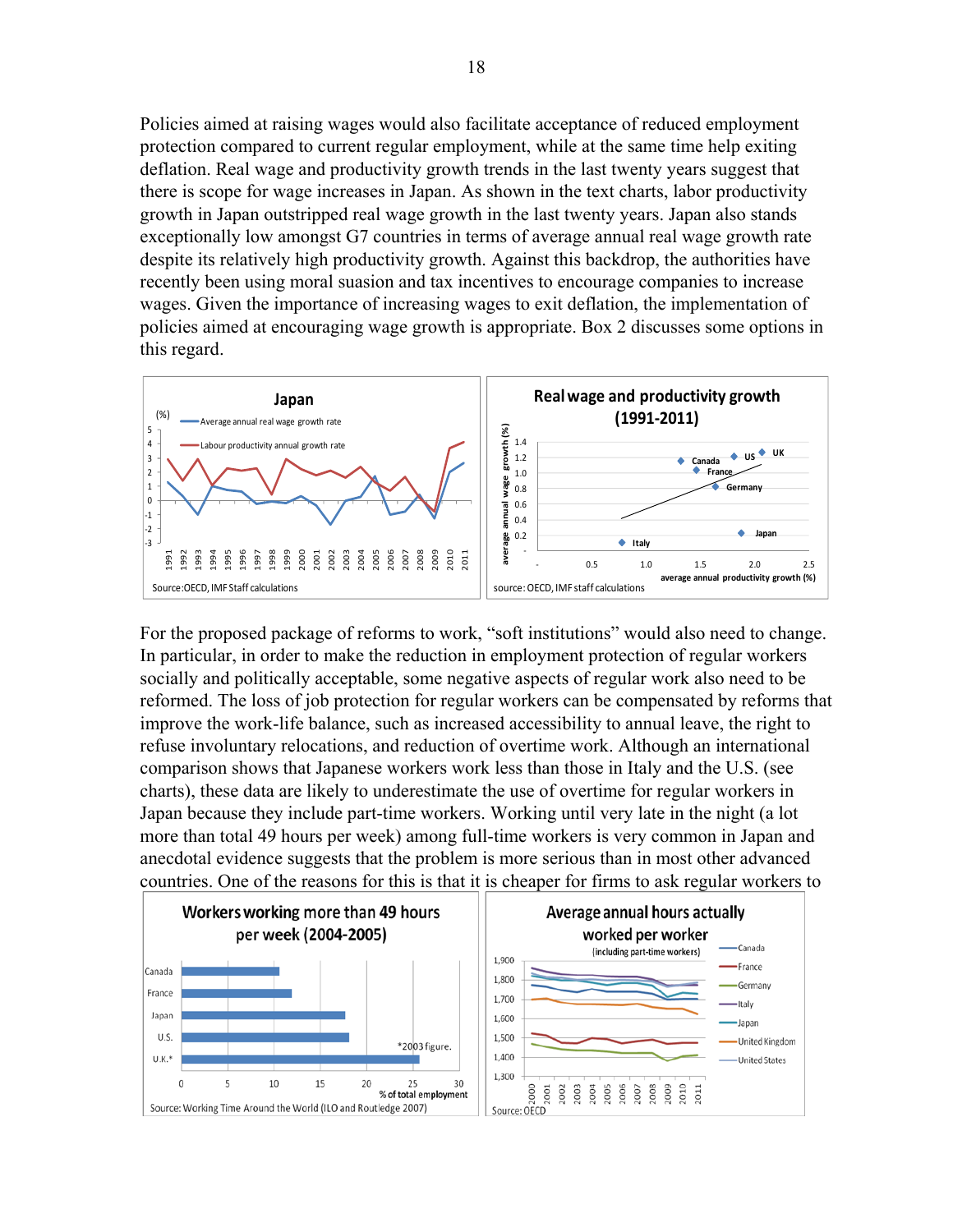Policies aimed at raising wages would also facilitate acceptance of reduced employment protection compared to current regular employment, while at the same time help exiting deflation. Real wage and productivity growth trends in the last twenty years suggest that there is scope for wage increases in Japan. As shown in the text charts, labor productivity growth in Japan outstripped real wage growth in the last twenty years. Japan also stands exceptionally low amongst G7 countries in terms of average annual real wage growth rate despite its relatively high productivity growth. Against this backdrop, the authorities have recently been using moral suasion and tax incentives to encourage companies to increase wages. Given the importance of increasing wages to exit deflation, the implementation of policies aimed at encouraging wage growth is appropriate. Box 2 discusses some options in this regard.



For the proposed package of reforms to work, "soft institutions" would also need to change. In particular, in order to make the reduction in employment protection of regular workers socially and politically acceptable, some negative aspects of regular work also need to be reformed. The loss of job protection for regular workers can be compensated by reforms that improve the work-life balance, such as increased accessibility to annual leave, the right to refuse involuntary relocations, and reduction of overtime work. Although an international comparison shows that Japanese workers work less than those in Italy and the U.S. (see charts), these data are likely to underestimate the use of overtime for regular workers in Japan because they include part-time workers. Working until very late in the night (a lot more than total 49 hours per week) among full-time workers is very common in Japan and anecdotal evidence suggests that the problem is more serious than in most other advanced countries. One of the reasons for this is that it is cheaper for firms to ask regular workers to

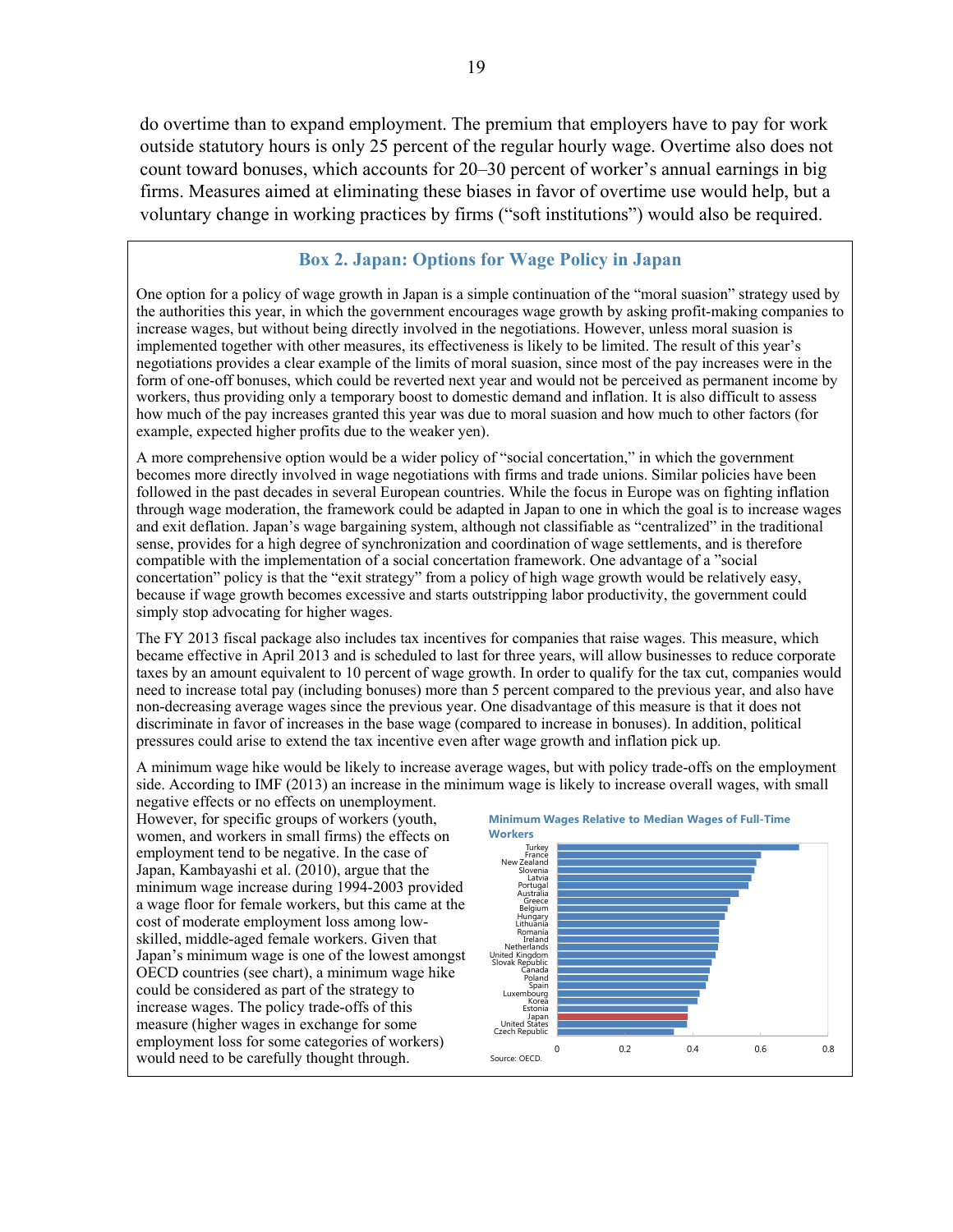do overtime than to expand employment. The premium that employers have to pay for work outside statutory hours is only 25 percent of the regular hourly wage. Overtime also does not count toward bonuses, which accounts for 20–30 percent of worker's annual earnings in big firms. Measures aimed at eliminating these biases in favor of overtime use would help, but a voluntary change in working practices by firms ("soft institutions") would also be required.

#### **Box 2. Japan: Options for Wage Policy in Japan**

One option for a policy of wage growth in Japan is a simple continuation of the "moral suasion" strategy used by the authorities this year, in which the government encourages wage growth by asking profit-making companies to increase wages, but without being directly involved in the negotiations. However, unless moral suasion is implemented together with other measures, its effectiveness is likely to be limited. The result of this year's negotiations provides a clear example of the limits of moral suasion, since most of the pay increases were in the form of one-off bonuses, which could be reverted next year and would not be perceived as permanent income by workers, thus providing only a temporary boost to domestic demand and inflation. It is also difficult to assess how much of the pay increases granted this year was due to moral suasion and how much to other factors (for example, expected higher profits due to the weaker yen).

A more comprehensive option would be a wider policy of "social concertation," in which the government becomes more directly involved in wage negotiations with firms and trade unions. Similar policies have been followed in the past decades in several European countries. While the focus in Europe was on fighting inflation through wage moderation, the framework could be adapted in Japan to one in which the goal is to increase wages and exit deflation. Japan's wage bargaining system, although not classifiable as "centralized" in the traditional sense, provides for a high degree of synchronization and coordination of wage settlements, and is therefore compatible with the implementation of a social concertation framework. One advantage of a "social concertation" policy is that the "exit strategy" from a policy of high wage growth would be relatively easy, because if wage growth becomes excessive and starts outstripping labor productivity, the government could simply stop advocating for higher wages.

The FY 2013 fiscal package also includes tax incentives for companies that raise wages. This measure, which became effective in April 2013 and is scheduled to last for three years, will allow businesses to reduce corporate taxes by an amount equivalent to 10 percent of wage growth. In order to qualify for the tax cut, companies would need to increase total pay (including bonuses) more than 5 percent compared to the previous year, and also have non-decreasing average wages since the previous year. One disadvantage of this measure is that it does not discriminate in favor of increases in the base wage (compared to increase in bonuses). In addition, political pressures could arise to extend the tax incentive even after wage growth and inflation pick up.

A minimum wage hike would be likely to increase average wages, but with policy trade-offs on the employment side. According to IMF (2013) an increase in the minimum wage is likely to increase overall wages, with small

negative effects or no effects on unemployment. However, for specific groups of workers (youth, women, and workers in small firms) the effects on employment tend to be negative. In the case of Japan, Kambayashi et al. (2010), argue that the minimum wage increase during 1994-2003 provided a wage floor for female workers, but this came at the cost of moderate employment loss among lowskilled, middle-aged female workers. Given that Japan's minimum wage is one of the lowest amongst OECD countries (see chart), a minimum wage hike could be considered as part of the strategy to increase wages. The policy trade-offs of this measure (higher wages in exchange for some employment loss for some categories of workers)

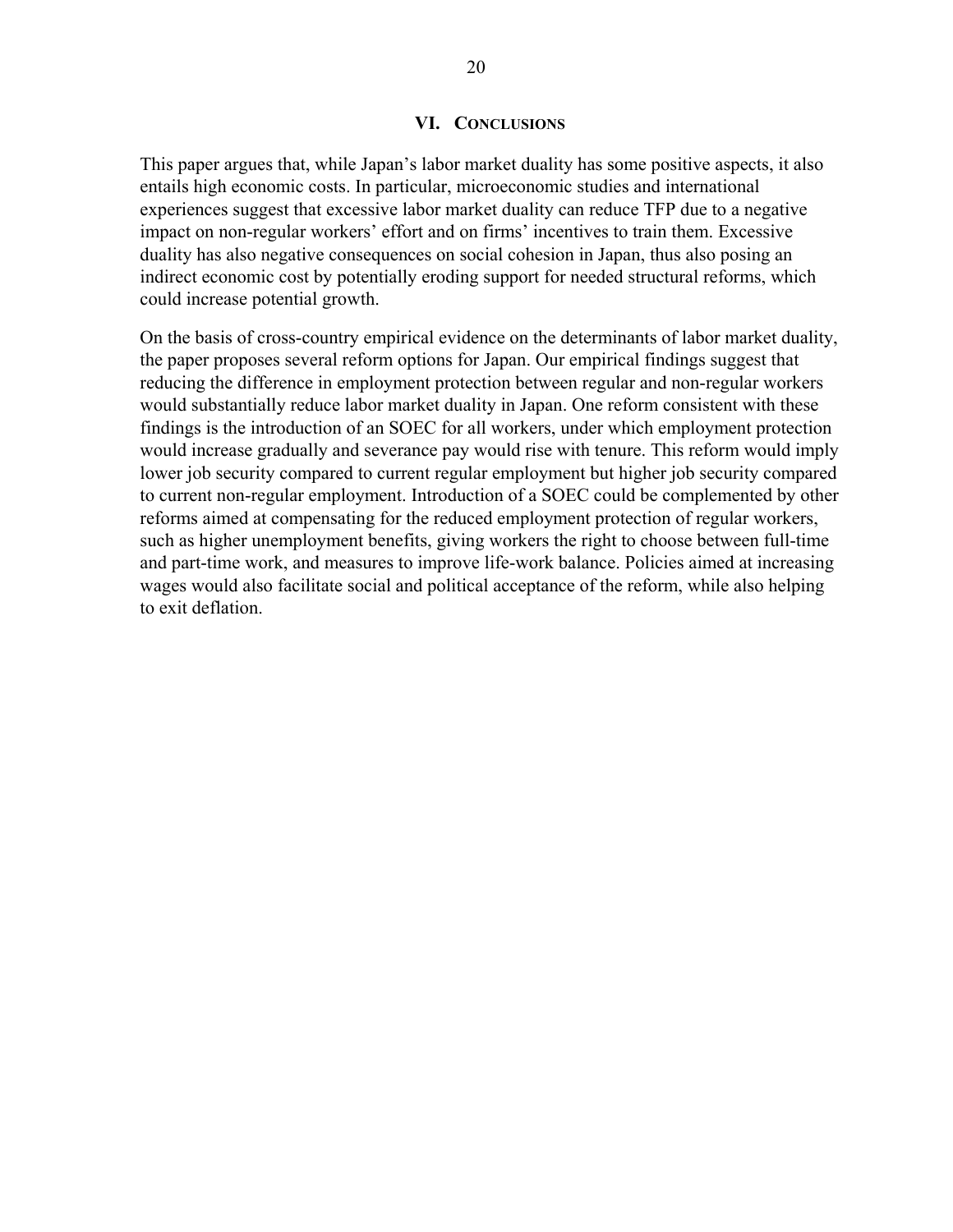#### **VI. CONCLUSIONS**

This paper argues that, while Japan's labor market duality has some positive aspects, it also entails high economic costs. In particular, microeconomic studies and international experiences suggest that excessive labor market duality can reduce TFP due to a negative impact on non-regular workers' effort and on firms' incentives to train them. Excessive duality has also negative consequences on social cohesion in Japan, thus also posing an indirect economic cost by potentially eroding support for needed structural reforms, which could increase potential growth.

On the basis of cross-country empirical evidence on the determinants of labor market duality, the paper proposes several reform options for Japan. Our empirical findings suggest that reducing the difference in employment protection between regular and non-regular workers would substantially reduce labor market duality in Japan. One reform consistent with these findings is the introduction of an SOEC for all workers, under which employment protection would increase gradually and severance pay would rise with tenure. This reform would imply lower job security compared to current regular employment but higher job security compared to current non-regular employment. Introduction of a SOEC could be complemented by other reforms aimed at compensating for the reduced employment protection of regular workers, such as higher unemployment benefits, giving workers the right to choose between full-time and part-time work, and measures to improve life-work balance. Policies aimed at increasing wages would also facilitate social and political acceptance of the reform, while also helping to exit deflation.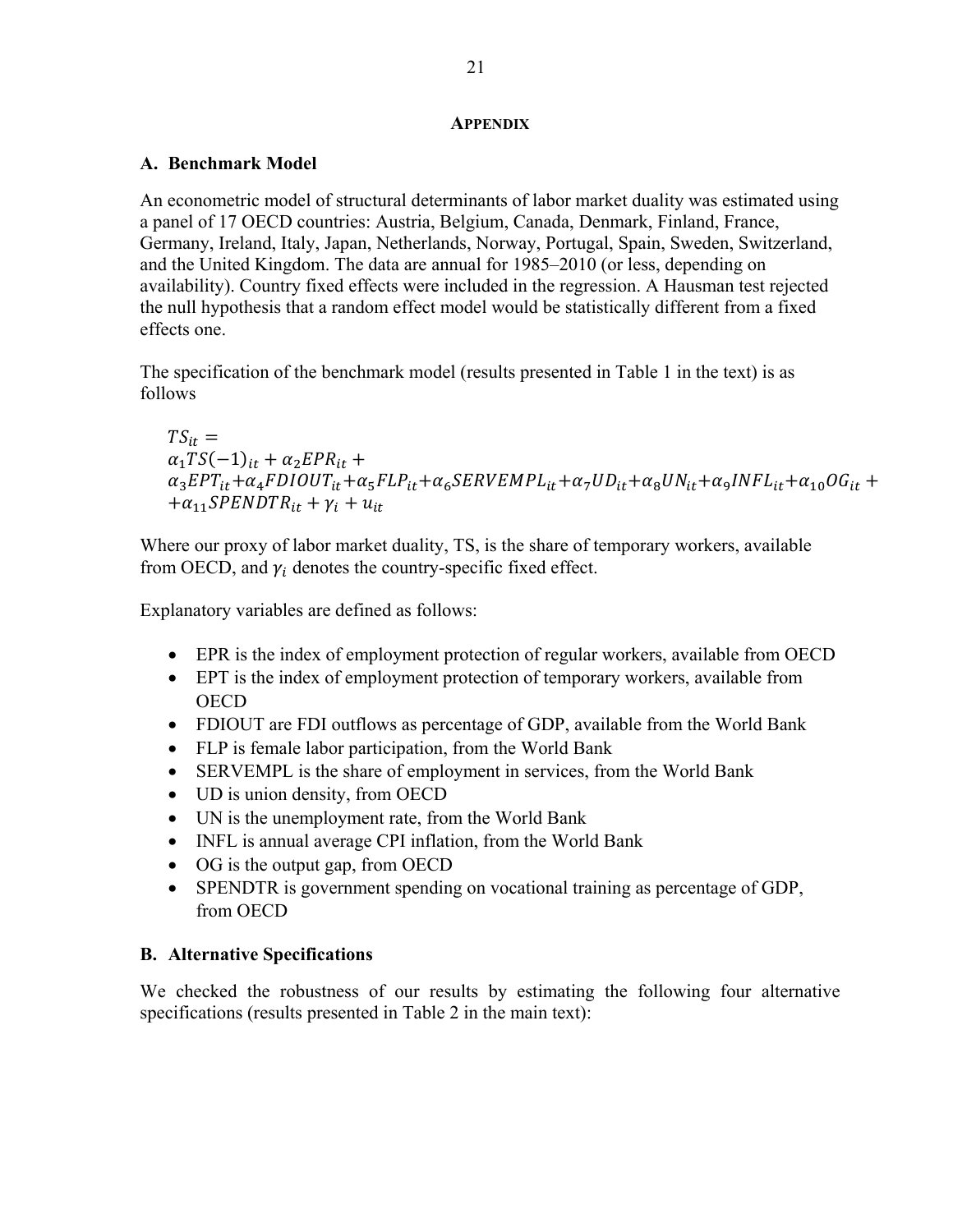#### **APPENDIX**

# **A. Benchmark Model**

An econometric model of structural determinants of labor market duality was estimated using a panel of 17 OECD countries: Austria, Belgium, Canada, Denmark, Finland, France, Germany, Ireland, Italy, Japan, Netherlands, Norway, Portugal, Spain, Sweden, Switzerland, and the United Kingdom. The data are annual for 1985–2010 (or less, depending on availability). Country fixed effects were included in the regression. A Hausman test rejected the null hypothesis that a random effect model would be statistically different from a fixed effects one.

The specification of the benchmark model (results presented in Table 1 in the text) is as follows

 $TS_{it} =$  $\alpha_1 TS(-1)_{it} + \alpha_2 EPR_{it} +$  $\alpha_3 EPT_{it} + \alpha_4 FDIOUT_{it} + \alpha_5 FLP_{it} + \alpha_6 SERVEMPL_{it} + \alpha_7 UD_{it} + \alpha_8 UN_{it} + \alpha_9 INFL_{it} + \alpha_{10} OG_{it} +$  $+\alpha_{11}$ SPENDTR<sub>it</sub> +  $\gamma_i$  +  $u_{it}$ 

Where our proxy of labor market duality, TS, is the share of temporary workers, available from OECD, and  $\gamma_i$  denotes the country-specific fixed effect.

Explanatory variables are defined as follows:

- EPR is the index of employment protection of regular workers, available from OECD
- EPT is the index of employment protection of temporary workers, available from **OECD**
- FDIOUT are FDI outflows as percentage of GDP, available from the World Bank
- FLP is female labor participation, from the World Bank
- SERVEMPL is the share of employment in services, from the World Bank
- UD is union density, from OECD
- UN is the unemployment rate, from the World Bank
- INFL is annual average CPI inflation, from the World Bank
- OG is the output gap, from OECD
- SPENDTR is government spending on vocational training as percentage of GDP, from OECD

# **B. Alternative Specifications**

We checked the robustness of our results by estimating the following four alternative specifications (results presented in Table 2 in the main text):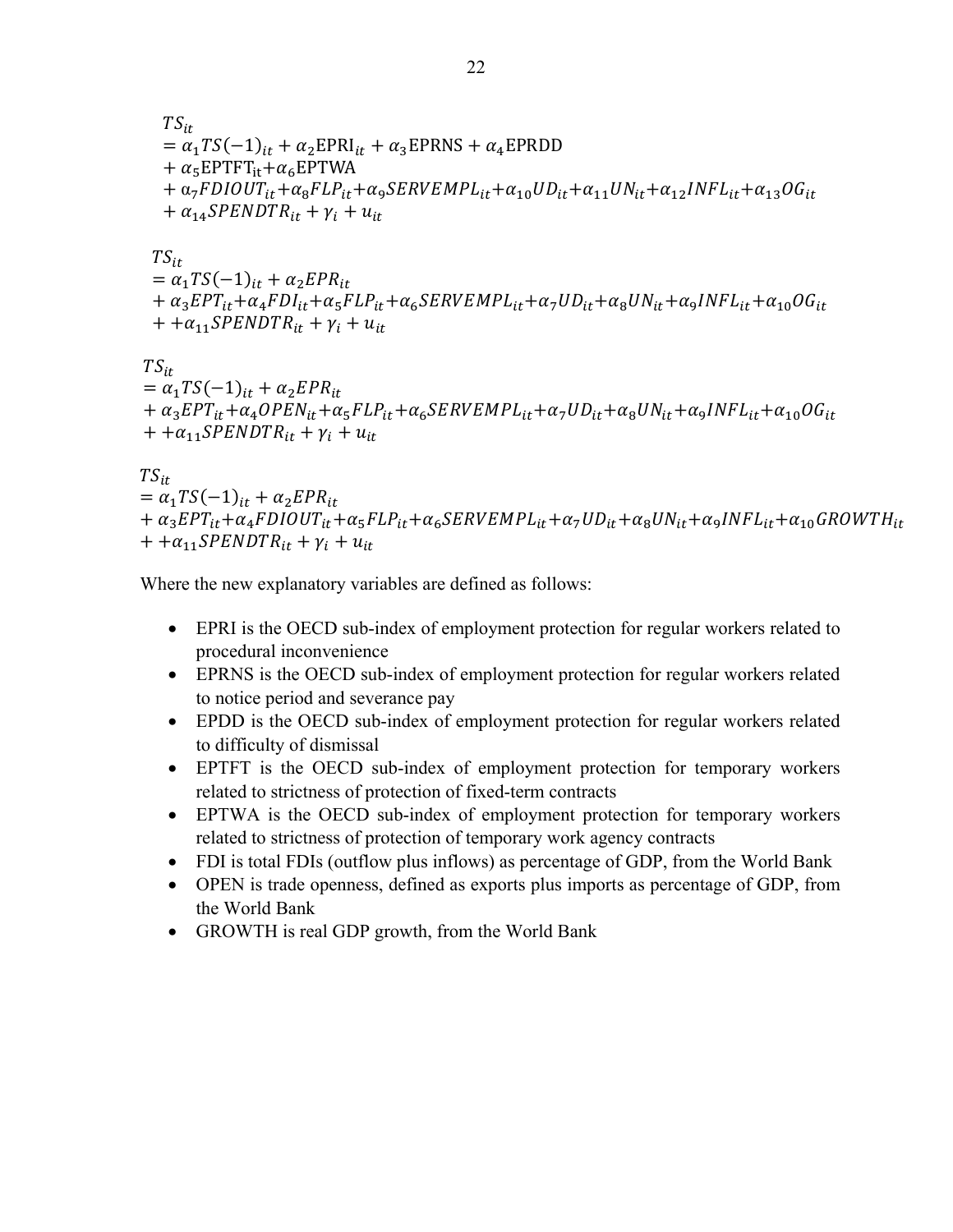$$
TS_{it}
$$
  
=  $\alpha_1 TS(-1)_{it} + \alpha_2 EPRI_{it} + \alpha_3 EPRNS + \alpha_4 EPRDD$   
+  $\alpha_5 EPTFT_{it} + \alpha_6 EPTWA$   
+  $\alpha_7 FDIOUT_{it} + \alpha_8 FLP_{it} + \alpha_9 SERVEMPL_{it} + \alpha_{10} UD_{it} + \alpha_{11} UN_{it} + \alpha_{12} INFL_{it} + \alpha_{13} OG_{it}$   
+  $\alpha_{14} SPENDTR_{it} + \gamma_i + u_{it}$ 

 $TS_{it}$  $= \alpha_1 TS(-1)_{it} + \alpha_2 EPR_{it}$  $+\alpha_3 EPT_{it}+\alpha_4 FDI_{it}+\alpha_5 FLP_{it}+\alpha_6 SERVEMPL_{it}+\alpha_7 UD_{it}+\alpha_8 UN_{it}+\alpha_9 INFL_{it}+\alpha_{10} OG_{it}$  $+ + \alpha_{11}$ SPENDTR<sub>it</sub> +  $\gamma_i$  +  $u_{it}$ 

 $TS_{it}$  $= \alpha_1 TS(-1)_{it} + \alpha_2 EPR_{it}$  $+\alpha_3 EPT_{it}+\alpha_4 OPEN_{it}+\alpha_5 FLP_{it}+\alpha_6 SERVEMPL_{it}+\alpha_7 UD_{it}+\alpha_8 UN_{it}+\alpha_9 INFL_{it}+\alpha_{10} OG_{it}$  $+ + \alpha_{11} SPENDTR_{it} + \gamma_i + u_{it}$ 

 $TS_{it}$  $= \alpha_1 TS(-1)_{it} + \alpha_2 EPR_{it}$  $+\alpha_3 EPT_{it}+\alpha_4 FDIOUT_{it}+\alpha_5 FLP_{it}+\alpha_6 SERVEMPL_{it}+\alpha_7 UD_{it}+\alpha_8 UN_{it}+\alpha_9 INFL_{it}+\alpha_{10} GROWTH_{it}$  $+ + \alpha_{11} SPENDTR_{it} + \gamma_i + u_{it}$ 

Where the new explanatory variables are defined as follows:

- EPRI is the OECD sub-index of employment protection for regular workers related to procedural inconvenience
- EPRNS is the OECD sub-index of employment protection for regular workers related to notice period and severance pay
- EPDD is the OECD sub-index of employment protection for regular workers related to difficulty of dismissal
- EPTFT is the OECD sub-index of employment protection for temporary workers related to strictness of protection of fixed-term contracts
- EPTWA is the OECD sub-index of employment protection for temporary workers related to strictness of protection of temporary work agency contracts
- FDI is total FDIs (outflow plus inflows) as percentage of GDP, from the World Bank
- OPEN is trade openness, defined as exports plus imports as percentage of GDP, from the World Bank
- GROWTH is real GDP growth, from the World Bank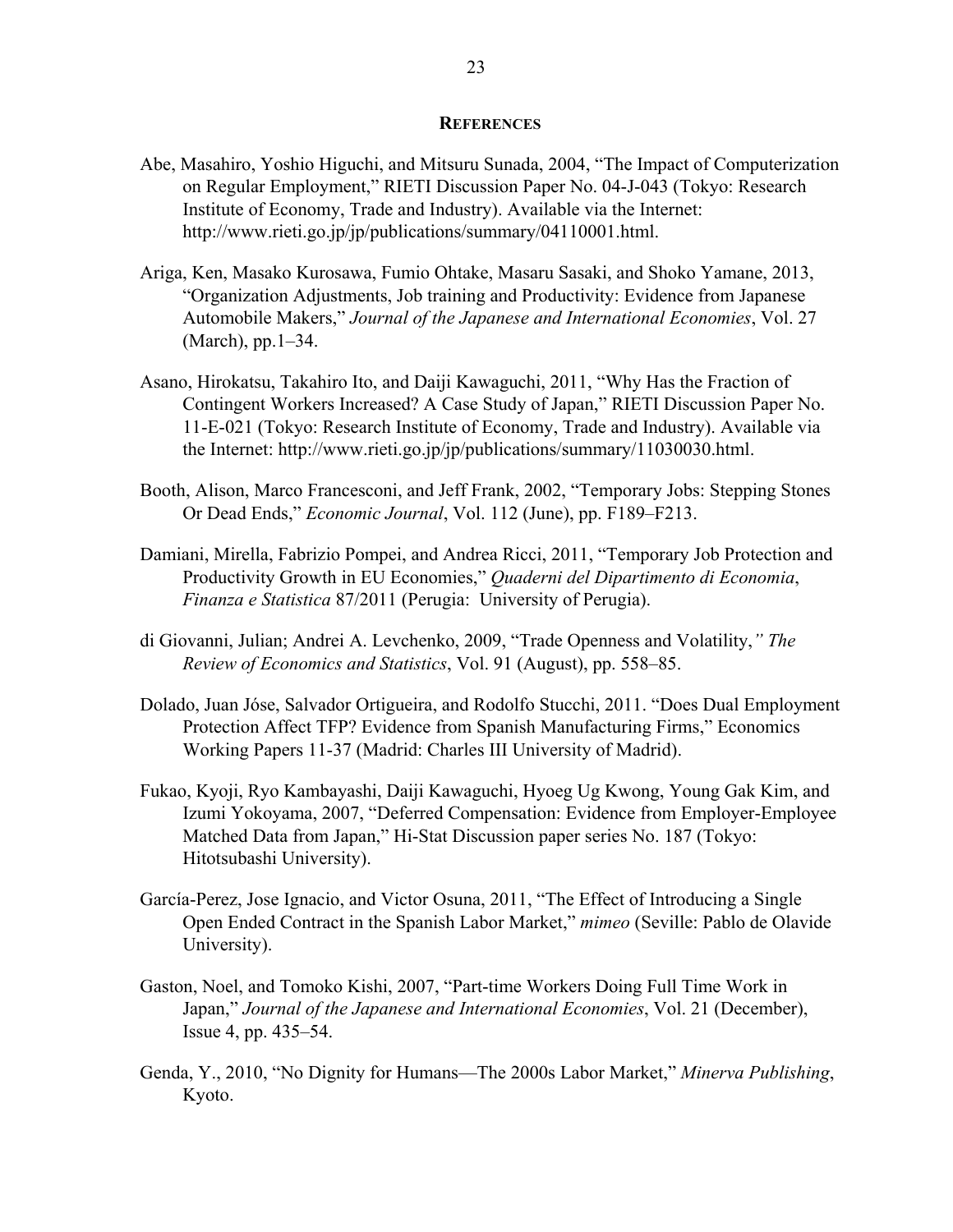#### **REFERENCES**

- Abe, Masahiro, Yoshio Higuchi, and Mitsuru Sunada, 2004, "The Impact of Computerization on Regular Employment," RIETI Discussion Paper No. 04-J-043 (Tokyo: Research Institute of Economy, Trade and Industry). Available via the Internet: http://www.rieti.go.jp/jp/publications/summary/04110001.html.
- Ariga, Ken, Masako Kurosawa, Fumio Ohtake, Masaru Sasaki, and Shoko Yamane, 2013, "Organization Adjustments, Job training and Productivity: Evidence from Japanese Automobile Makers," *Journal of the Japanese and International Economies*, Vol. 27 (March), pp.1–34.
- Asano, Hirokatsu, Takahiro Ito, and Daiji Kawaguchi, 2011, "Why Has the Fraction of Contingent Workers Increased? A Case Study of Japan," RIETI Discussion Paper No. 11-E-021 (Tokyo: Research Institute of Economy, Trade and Industry). Available via the Internet: http://www.rieti.go.jp/jp/publications/summary/11030030.html.
- Booth, Alison, Marco Francesconi, and Jeff Frank, 2002, "Temporary Jobs: Stepping Stones Or Dead Ends," *Economic Journal*, Vol. 112 (June), pp. F189–F213.
- Damiani, Mirella, Fabrizio Pompei, and Andrea Ricci, 2011, "Temporary Job Protection and Productivity Growth in EU Economies," *Quaderni del Dipartimento di Economia*, *Finanza e Statistica* 87/2011 (Perugia: University of Perugia).
- di Giovanni, Julian; Andrei A. Levchenko, 2009, "Trade Openness and Volatility,*" The Review of Economics and Statistics*, Vol. 91 (August), pp. 558–85.
- Dolado, Juan Jóse, Salvador Ortigueira, and Rodolfo Stucchi, 2011. "Does Dual Employment Protection Affect TFP? Evidence from Spanish Manufacturing Firms," Economics Working Papers 11-37 (Madrid: Charles III University of Madrid).
- Fukao, Kyoji, Ryo Kambayashi, Daiji Kawaguchi, Hyoeg Ug Kwong, Young Gak Kim, and Izumi Yokoyama, 2007, "Deferred Compensation: Evidence from Employer-Employee Matched Data from Japan," Hi-Stat Discussion paper series No. 187 (Tokyo: Hitotsubashi University).
- García-Perez, Jose Ignacio, and Victor Osuna, 2011, "The Effect of Introducing a Single Open Ended Contract in the Spanish Labor Market," *mimeo* (Seville: Pablo de Olavide University).
- Gaston, Noel, and Tomoko Kishi, 2007, "Part-time Workers Doing Full Time Work in Japan," *Journal of the Japanese and International Economies*, Vol. 21 (December), Issue 4, pp. 435–54.
- Genda, Y., 2010, "No Dignity for Humans—The 2000s Labor Market," *Minerva Publishing*, Kyoto.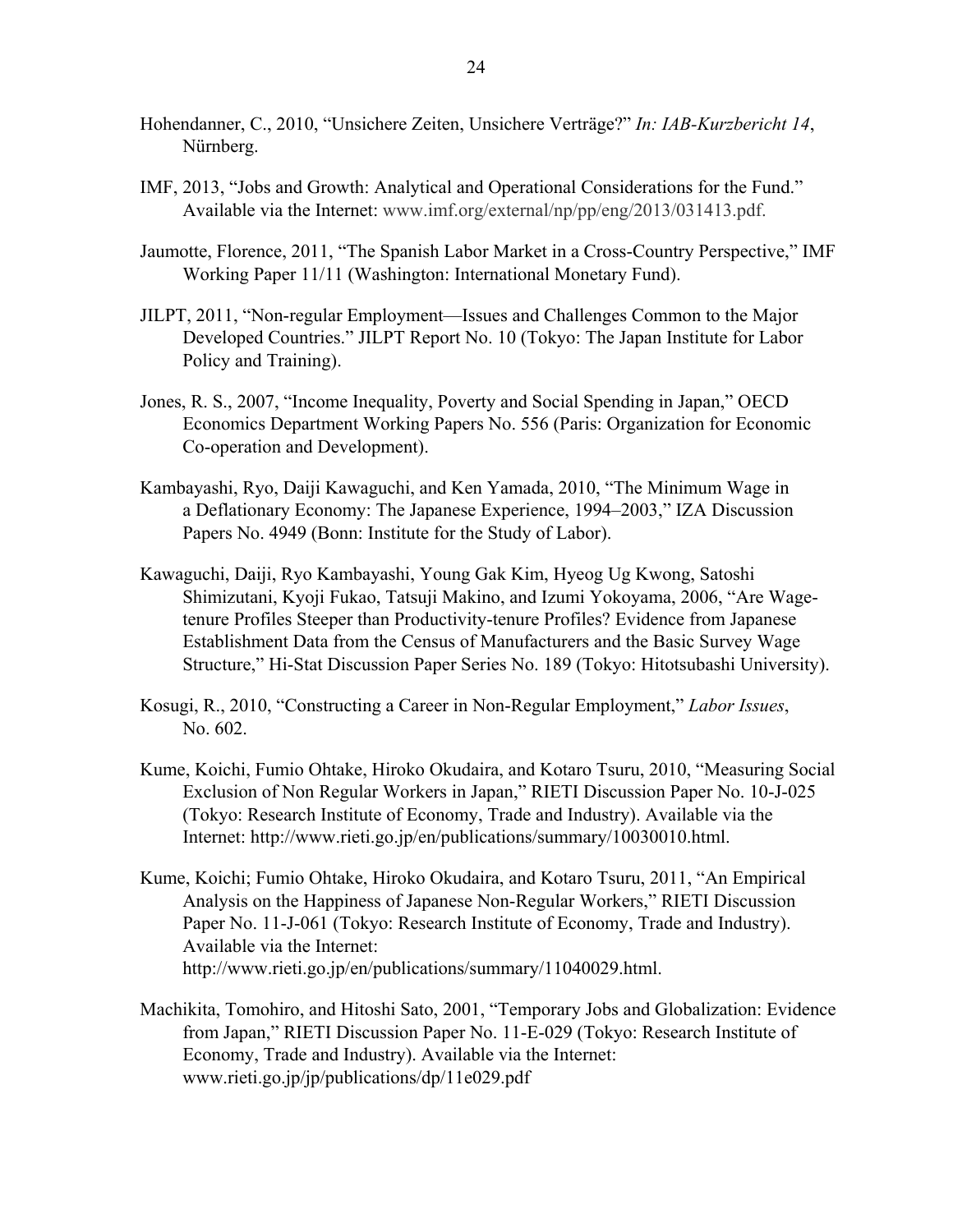- Hohendanner, C., 2010, "Unsichere Zeiten, Unsichere Verträge?" *In: IAB-Kurzbericht 14*, Nürnberg.
- IMF, 2013, "Jobs and Growth: Analytical and Operational Considerations for the Fund." Available via the Internet: www.imf.org/external/np/pp/eng/2013/031413.pdf.
- Jaumotte, Florence, 2011, "The Spanish Labor Market in a Cross-Country Perspective," IMF Working Paper 11/11 (Washington: International Monetary Fund).
- JILPT, 2011, "Non-regular Employment—Issues and Challenges Common to the Major Developed Countries." JILPT Report No. 10 (Tokyo: The Japan Institute for Labor Policy and Training).
- Jones, R. S., 2007, "Income Inequality, Poverty and Social Spending in Japan," OECD Economics Department Working Papers No. 556 (Paris: Organization for Economic Co-operation and Development).
- Kambayashi, Ryo, Daiji Kawaguchi, and Ken Yamada, 2010, "The Minimum Wage in a Deflationary Economy: The Japanese Experience, 1994–2003," IZA Discussion Papers No. 4949 (Bonn: Institute for the Study of Labor).
- Kawaguchi, Daiji, Ryo Kambayashi, Young Gak Kim, Hyeog Ug Kwong, Satoshi Shimizutani, Kyoji Fukao, Tatsuji Makino, and Izumi Yokoyama, 2006, "Are Wagetenure Profiles Steeper than Productivity-tenure Profiles? Evidence from Japanese Establishment Data from the Census of Manufacturers and the Basic Survey Wage Structure," Hi-Stat Discussion Paper Series No. 189 (Tokyo: Hitotsubashi University).
- Kosugi, R., 2010, "Constructing a Career in Non-Regular Employment," *Labor Issues*, No. 602.
- Kume, Koichi, Fumio Ohtake, Hiroko Okudaira, and Kotaro Tsuru, 2010, "Measuring Social Exclusion of Non Regular Workers in Japan," RIETI Discussion Paper No. 10-J-025 (Tokyo: Research Institute of Economy, Trade and Industry). Available via the Internet: http://www.rieti.go.jp/en/publications/summary/10030010.html.
- Kume, Koichi; Fumio Ohtake, Hiroko Okudaira, and Kotaro Tsuru, 2011, "An Empirical Analysis on the Happiness of Japanese Non-Regular Workers," RIETI Discussion Paper No. 11-J-061 (Tokyo: Research Institute of Economy, Trade and Industry). Available via the Internet: http://www.rieti.go.jp/en/publications/summary/11040029.html.
- Machikita, Tomohiro, and Hitoshi Sato, 2001, "Temporary Jobs and Globalization: Evidence from Japan," RIETI Discussion Paper No. 11-E-029 (Tokyo: Research Institute of Economy, Trade and Industry). Available via the Internet: www.rieti.go.jp/jp/publications/dp/11e029.pdf